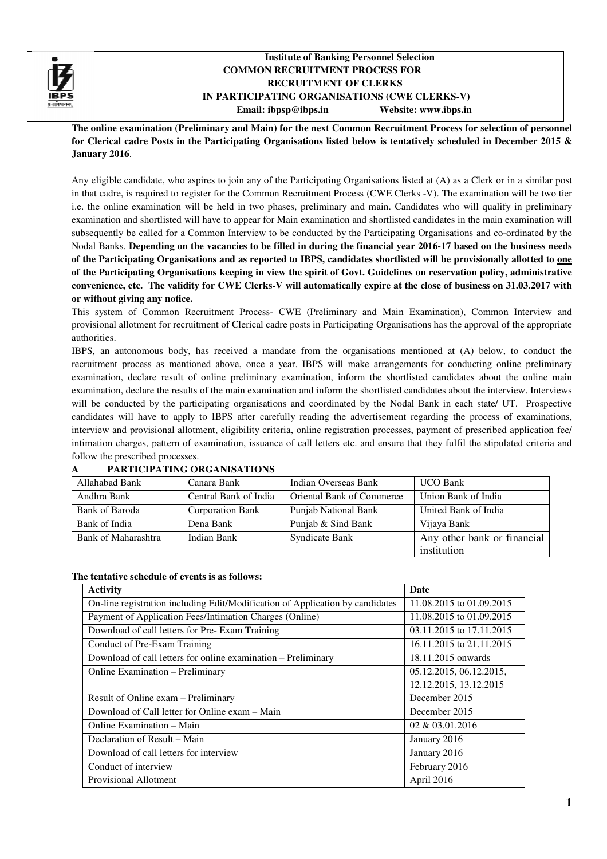

## **Institute of Banking Personnel Selection<br>
COMMON RECRUITMENT PROCESS FOR<br>
RECRUITMENT OF CLERKS<br>
IN PARTICIPATING ORGANISATIONS (CWE CLERKS-V) Institute of Banking Personnel Selection COMMON RECRUITMENT PROCESS FOR RECRUITMENT OF CLERKS Email: ibpsp@ibps.in Website: www.ibps.in**

**The online examination (Preliminary and Main) (Preliminary for the next Common Recruitment Process Common for selection of personnel for Clerical cadre Posts in the Participating Organisations listed below is tentatively scheduled in December 2015 & January 2016**.

Any eligible candidate, who aspires to join any of the Participating Organisations listed at (A) as a Clerk or in a similar post Any eligible candidate, who aspires to join any of the Participating Organisations listed at (A) as a Clerk or in a similar post<br>in that cadre, is required to register for the Common Recruitment Process (CWE Clerks -V). Th i.e. the online examination will be held in two phases, preliminary and main. Candidates who will qualify in preliminary examination and shortlisted will have to appear for Main examination and shortlisted candidates in the main examination will subsequently be called for a Common Interview to be conducted by the Participating Organisations and co-ordinated by the Nodal Banks. **Depending on the vacancies to be filled in during the financial year 201 2016-17 based on the business needs**  of the Participating Organisations and as reported to IBPS, candidates shortlisted will be provisionally allotted to <u>one</u> **of the Participating Organisations keeping in view the spirit of Govt. Guidelines on reservation policy, administrative**  of the Participating Organisations keeping in view the spirit of Govt. Guidelines on reservation policy, administrative<br>convenience, etc. The validity for CWE Clerks-V will automatically expire at the close of business on **or without giving any notice.**

This system of Common Recruitment Process- CWE (Preliminary and Main Examination), Common Interview and provisional allotment for recruitment of Clerical cadre posts in Participating Organisations has the approval of the appropriate authorities.

IBPS, an autonomous body, has received a mandate from the organisations mentioned at (A) below, to conduct the recruitment process as mentioned above, once a year. IBPS will make arrangements for conducting online examination, declare result of online preliminary examination, inform the shortlisted candidates about the online main examination, declare the results of the main examination and inform the shortlisted candidates about the interview. Interviews will be conducted by the participating organisations and coordinated by the Nodal Bank in each state/ UT. Prospective examination, declare result of online preliminary examination, inform the shortlisted candidates about the online main examination, declare the results of the main examination and inform the shortlisted candidates about th interview and provisional allotment, eligibility criteria, online registration processes, payment of prescribed application fee/ interview and provisional allotment, eligibility criteria, online registration processes, payment of prescribed application fee/<br>
intimation charges, pattern of examination, issuance of call letters etc. and ensure that th follow the prescribed processes. al cadre posts in Participating Organisations has the approval of the appropriate<br>a mandate from the organisations mentioned at (A) below, to conduct the<br>ce a year. IBPS will make arrangements for conducting online prelimi

| Allahabad Bank      | Canara Bank           | Indian Overseas Bank      | <b>UCO Bank</b>                            |
|---------------------|-----------------------|---------------------------|--------------------------------------------|
| Andhra Bank         | Central Bank of India | Oriental Bank of Commerce | Union Bank of India                        |
| Bank of Baroda      | Corporation Bank      | Punjab National Bank      | United Bank of India                       |
| Bank of India       | Dena Bank             | Punjab & Sind Bank        | Vijaya Bank                                |
| Bank of Maharashtra | Indian Bank           | Syndicate Bank            | Any other bank or financial<br>institution |

#### **A PARTICIPATING ORGANISATIONS**

### **The tentative schedule of events is as follows:**

| <b>Activity</b>                                                               | <b>Date</b>              |
|-------------------------------------------------------------------------------|--------------------------|
| On-line registration including Edit/Modification of Application by candidates | 11.08.2015 to 01.09.2015 |
| Payment of Application Fees/Intimation Charges (Online)                       | 11.08.2015 to 01.09.2015 |
| Download of call letters for Pre-Exam Training                                | 03.11.2015 to 17.11.2015 |
| Conduct of Pre-Exam Training                                                  | 16.11.2015 to 21.11.2015 |
| Download of call letters for online examination - Preliminary                 | 18.11.2015 onwards       |
| Online Examination – Preliminary                                              | 05.12.2015, 06.12.2015,  |
|                                                                               | 12.12.2015, 13.12.2015   |
| Result of Online exam - Preliminary                                           | December 2015            |
| Download of Call letter for Online exam – Main                                | December 2015            |
| Online Examination – Main                                                     | 02 & 03.01.2016          |
| Declaration of Result – Main                                                  | January 2016             |
| Download of call letters for interview                                        | January 2016             |
| Conduct of interview                                                          | February 2016            |
| Provisional Allotment                                                         | April 2016               |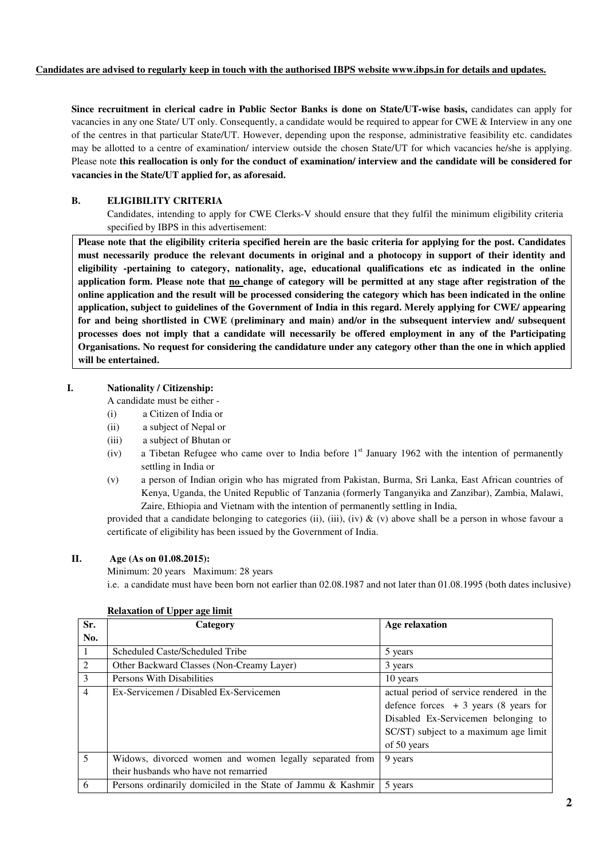### **Candidates are advised to regularly keep in touch with the authorised IBPS website www.ibps.in for details and updates.**

**Since recruitment in clerical cadre in Public Sector Banks is done on State/UT-wise basis, candidates can apply for** vacancies in any one State/ UT only. Consequently, a candidate would be required to appear for CWE & Interview in any one of the centres in that particular State/UT. However, depending upon the response, administrative feasibility etc. candidates may be allotted to a centre of examination/ interview outside the chosen State/UT for which vacancies he/she is applying. Please note **this reallocation is only for the conduct of examination/ interview and the candidate will be considered for vacancies in the State/UT applied for, as aforesaid.** 

## **B. ELIGIBILITY CRITERIA**

Candidates, intending to apply for CWE Clerks-V should ensure that they fulfil the minimum eligibility criteria specified by IBPS in this advertisement:

**Please note that the eligibility criteria specified herein are the basic criteria for applying for the post. Candidates must necessarily produce the relevant documents in original and a photocopy in support of their identity and eligibility -pertaining to category, nationality, age, educational qualifications etc as indicated in the online application form. Please note that no change of category will be permitted at any stage after registration of the online application and the result will be processed considering the category which has been indicated in the online application, subject to guidelines of the Government of India in this regard. Merely applying for CWE/ appearing for and being shortlisted in CWE (preliminary and main) and/or in the subsequent interview and/ subsequent processes does not imply that a candidate will necessarily be offered employment in any of the Participating Organisations. No request for considering the candidature under any category other than the one in which applied will be entertained.** 

## **I. Nationality / Citizenship:**

A candidate must be either -

- (i) a Citizen of India or
- (ii) a subject of Nepal or
- (iii) a subject of Bhutan or
- (iv) a Tibetan Refugee who came over to India before  $1<sup>st</sup>$  January 1962 with the intention of permanently settling in India or
- (v) a person of Indian origin who has migrated from Pakistan, Burma, Sri Lanka, East African countries of Kenya, Uganda, the United Republic of Tanzania (formerly Tanganyika and Zanzibar), Zambia, Malawi, Zaire, Ethiopia and Vietnam with the intention of permanently settling in India,

provided that a candidate belonging to categories (ii), (iii), (iv) & (v) above shall be a person in whose favour a certificate of eligibility has been issued by the Government of India.

## **II. Age (As on 01.08.2015):**

Minimum: 20 years Maximum: 28 years

i.e. a candidate must have been born not earlier than 02.08.1987 and not later than 01.08.1995 (both dates inclusive)

| Sr. | Category                                                     | <b>Age relaxation</b>                    |
|-----|--------------------------------------------------------------|------------------------------------------|
| No. |                                                              |                                          |
|     | Scheduled Caste/Scheduled Tribe                              | 5 years                                  |
| 2   | Other Backward Classes (Non-Creamy Layer)                    | 3 years                                  |
| 3   | Persons With Disabilities                                    | 10 years                                 |
| 4   | Ex-Servicemen / Disabled Ex-Servicemen                       | actual period of service rendered in the |
|     |                                                              | defence forces $+3$ years (8 years for   |
|     |                                                              | Disabled Ex-Servicemen belonging to      |
|     |                                                              | SC/ST) subject to a maximum age limit    |
|     |                                                              | of 50 years                              |
| 5   | Widows, divorced women and women legally separated from      | 9 years                                  |
|     | their husbands who have not remarried                        |                                          |
| 6   | Persons ordinarily domiciled in the State of Jammu & Kashmir | 5 years                                  |

#### **Relaxation of Upper age limit**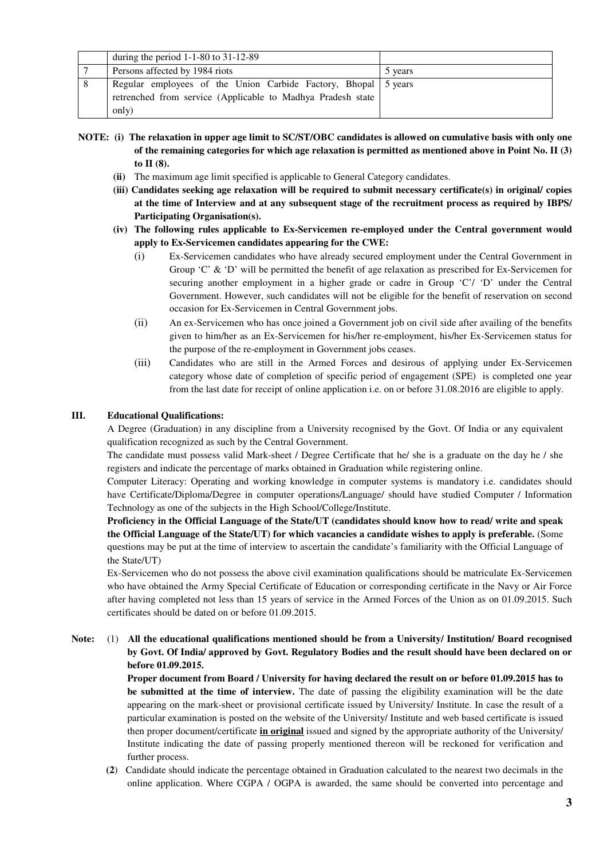|    | during the period $1-1-80$ to $31-12-89$                                                                                      |         |
|----|-------------------------------------------------------------------------------------------------------------------------------|---------|
|    | Persons affected by 1984 riots                                                                                                | 5 years |
| -8 | Regular employees of the Union Carbide Factory, Bhopal 5 years<br>retrenched from service (Applicable to Madhya Pradesh state |         |
|    | only)                                                                                                                         |         |

**NOTE: (i) The relaxation in upper age limit to SC/ST/OBC candidates is allowed on cumulative basis with only one of the remaining categories for which age relaxation is permitted as mentioned above in Point No. II (3) to II (8).** 

- **(ii)** The maximum age limit specified is applicable to General Category candidates.
- **(iii) Candidates seeking age relaxation will be required to submit necessary certificate(s) in original/ copies at the time of Interview and at any subsequent stage of the recruitment process as required by IBPS/ Participating Organisation(s).**

### **(iv) The following rules applicable to Ex-Servicemen re-employed under the Central government would apply to Ex-Servicemen candidates appearing for the CWE:**

- (i) Ex-Servicemen candidates who have already secured employment under the Central Government in Group 'C' & 'D' will be permitted the benefit of age relaxation as prescribed for Ex-Servicemen for securing another employment in a higher grade or cadre in Group 'C'/ 'D' under the Central Government. However, such candidates will not be eligible for the benefit of reservation on second occasion for Ex-Servicemen in Central Government jobs.
- (ii) An ex-Servicemen who has once joined a Government job on civil side after availing of the benefits given to him/her as an Ex-Servicemen for his/her re-employment, his/her Ex-Servicemen status for the purpose of the re-employment in Government jobs ceases.
- (iii) Candidates who are still in the Armed Forces and desirous of applying under Ex-Servicemen category whose date of completion of specific period of engagement (SPE) is completed one year from the last date for receipt of online application i.e. on or before 31.08.2016 are eligible to apply.

#### **III. Educational Qualifications:**

A Degree (Graduation) in any discipline from a University recognised by the Govt. Of India or any equivalent qualification recognized as such by the Central Government.

The candidate must possess valid Mark-sheet / Degree Certificate that he/ she is a graduate on the day he / she registers and indicate the percentage of marks obtained in Graduation while registering online.

Computer Literacy: Operating and working knowledge in computer systems is mandatory i.e. candidates should have Certificate/Diploma/Degree in computer operations/Language/ should have studied Computer / Information Technology as one of the subjects in the High School/College/Institute.

**Proficiency in the Official Language of the State/UT (candidates should know how to read/ write and speak the Official Language of the State/UT) for which vacancies a candidate wishes to apply is preferable.** (Some questions may be put at the time of interview to ascertain the candidate's familiarity with the Official Language of the State/UT)

Ex-Servicemen who do not possess the above civil examination qualifications should be matriculate Ex-Servicemen who have obtained the Army Special Certificate of Education or corresponding certificate in the Navy or Air Force after having completed not less than 15 years of service in the Armed Forces of the Union as on 01.09.2015. Such certificates should be dated on or before 01.09.2015.

### **Note:** (1) **All the educational qualifications mentioned should be from a University/ Institution/ Board recognised by Govt. Of India/ approved by Govt. Regulatory Bodies and the result should have been declared on or before 01.09.2015.**

**Proper document from Board / University for having declared the result on or before 01.09.2015 has to be submitted at the time of interview.** The date of passing the eligibility examination will be the date appearing on the mark-sheet or provisional certificate issued by University/ Institute. In case the result of a particular examination is posted on the website of the University/ Institute and web based certificate is issued then proper document/certificate **in original** issued and signed by the appropriate authority of the University/ Institute indicating the date of passing properly mentioned thereon will be reckoned for verification and further process.

**(2**) Candidate should indicate the percentage obtained in Graduation calculated to the nearest two decimals in the online application. Where CGPA / OGPA is awarded, the same should be converted into percentage and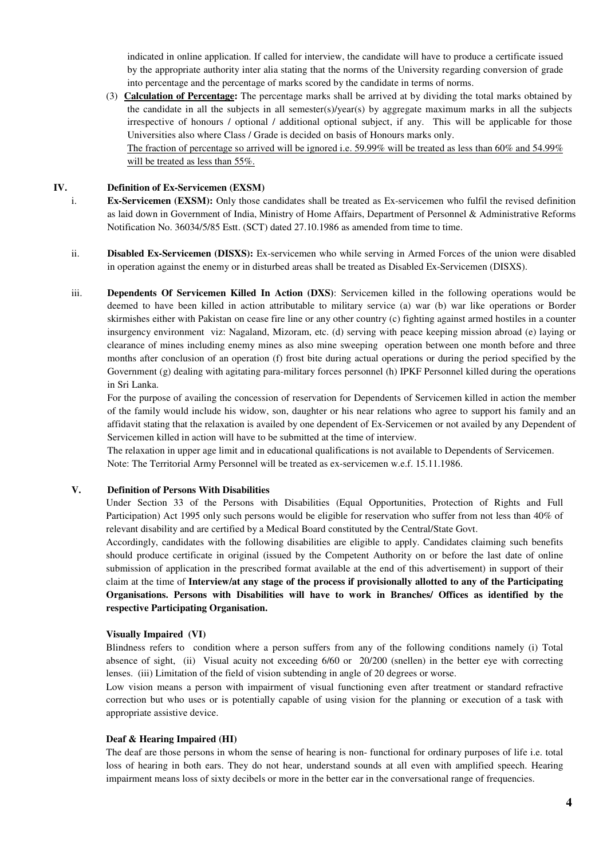indicated in online application. If called for interview, the candidate will have to produce a certificate issued by the appropriate authority inter alia stating that the norms of the University regarding conversion of grade into percentage and the percentage of marks scored by the candidate in terms of norms.

(3) **Calculation of Percentage:** The percentage marks shall be arrived at by dividing the total marks obtained by the candidate in all the subjects in all semester(s)/year(s) by aggregate maximum marks in all the subjects irrespective of honours / optional / additional optional subject, if any. This will be applicable for those Universities also where Class / Grade is decided on basis of Honours marks only. The fraction of percentage so arrived will be ignored i.e. 59.99% will be treated as less than 60% and 54.99% will be treated as less than 55%.

#### **IV. Definition of Ex-Servicemen (EXSM)**

- i. **Ex-Servicemen (EXSM):** Only those candidates shall be treated as Ex-servicemen who fulfil the revised definition as laid down in Government of India, Ministry of Home Affairs, Department of Personnel & Administrative Reforms Notification No. 36034/5/85 Estt. (SCT) dated 27.10.1986 as amended from time to time.
- ii. **Disabled Ex-Servicemen (DISXS):** Ex-servicemen who while serving in Armed Forces of the union were disabled in operation against the enemy or in disturbed areas shall be treated as Disabled Ex-Servicemen (DISXS).
- iii. **Dependents Of Servicemen Killed In Action (DXS)**: Servicemen killed in the following operations would be deemed to have been killed in action attributable to military service (a) war (b) war like operations or Border skirmishes either with Pakistan on cease fire line or any other country (c) fighting against armed hostiles in a counter insurgency environment viz: Nagaland, Mizoram, etc. (d) serving with peace keeping mission abroad (e) laying or clearance of mines including enemy mines as also mine sweeping operation between one month before and three months after conclusion of an operation (f) frost bite during actual operations or during the period specified by the Government (g) dealing with agitating para-military forces personnel (h) IPKF Personnel killed during the operations in Sri Lanka.

 For the purpose of availing the concession of reservation for Dependents of Servicemen killed in action the member of the family would include his widow, son, daughter or his near relations who agree to support his family and an affidavit stating that the relaxation is availed by one dependent of Ex-Servicemen or not availed by any Dependent of Servicemen killed in action will have to be submitted at the time of interview.

 The relaxation in upper age limit and in educational qualifications is not available to Dependents of Servicemen. Note: The Territorial Army Personnel will be treated as ex-servicemen w.e.f. 15.11.1986.

#### **V. Definition of Persons With Disabilities**

Under Section 33 of the Persons with Disabilities (Equal Opportunities, Protection of Rights and Full Participation) Act 1995 only such persons would be eligible for reservation who suffer from not less than 40% of relevant disability and are certified by a Medical Board constituted by the Central/State Govt.

Accordingly, candidates with the following disabilities are eligible to apply. Candidates claiming such benefits should produce certificate in original (issued by the Competent Authority on or before the last date of online submission of application in the prescribed format available at the end of this advertisement) in support of their claim at the time of **Interview/at any stage of the process if provisionally allotted to any of the Participating Organisations. Persons with Disabilities will have to work in Branches/ Offices as identified by the respective Participating Organisation.** 

#### **Visually Impaired (VI)**

Blindness refers to condition where a person suffers from any of the following conditions namely (i) Total absence of sight, (ii) Visual acuity not exceeding 6/60 or 20/200 (snellen) in the better eye with correcting lenses. (iii) Limitation of the field of vision subtending in angle of 20 degrees or worse.

Low vision means a person with impairment of visual functioning even after treatment or standard refractive correction but who uses or is potentially capable of using vision for the planning or execution of a task with appropriate assistive device.

#### **Deaf & Hearing Impaired (HI)**

The deaf are those persons in whom the sense of hearing is non- functional for ordinary purposes of life i.e. total loss of hearing in both ears. They do not hear, understand sounds at all even with amplified speech. Hearing impairment means loss of sixty decibels or more in the better ear in the conversational range of frequencies.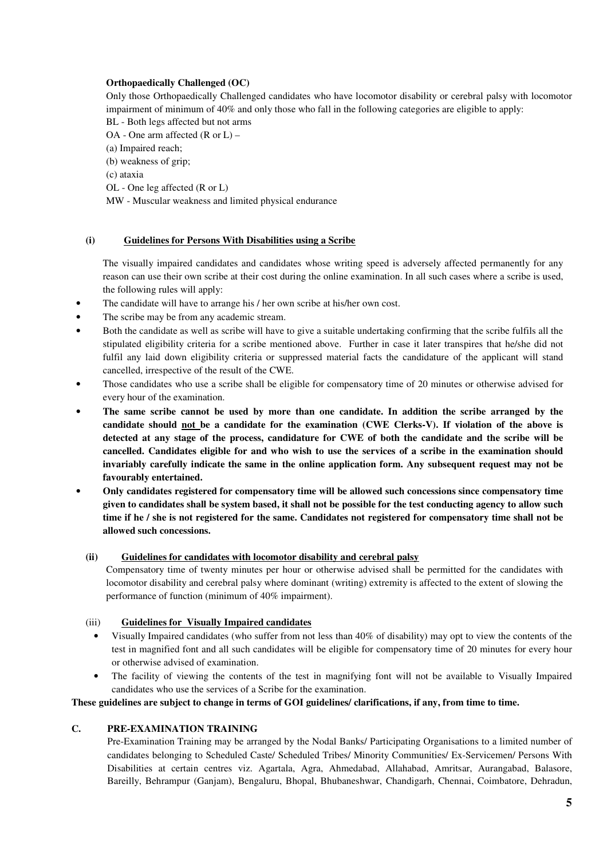## **Orthopaedically Challenged (OC)**

Only those Orthopaedically Challenged candidates who have locomotor disability or cerebral palsy with locomotor impairment of minimum of 40% and only those who fall in the following categories are eligible to apply:

BL - Both legs affected but not arms

OA - One arm affected (R or L) –

(a) Impaired reach; (b) weakness of grip;

(c) ataxia

OL - One leg affected (R or L)

MW - Muscular weakness and limited physical endurance

### **(i) Guidelines for Persons With Disabilities using a Scribe**

The visually impaired candidates and candidates whose writing speed is adversely affected permanently for any reason can use their own scribe at their cost during the online examination. In all such cases where a scribe is used, the following rules will apply:

- The candidate will have to arrange his / her own scribe at his/her own cost.
- The scribe may be from any academic stream.
- Both the candidate as well as scribe will have to give a suitable undertaking confirming that the scribe fulfils all the stipulated eligibility criteria for a scribe mentioned above. Further in case it later transpires that he/she did not fulfil any laid down eligibility criteria or suppressed material facts the candidature of the applicant will stand cancelled, irrespective of the result of the CWE.
- Those candidates who use a scribe shall be eligible for compensatory time of 20 minutes or otherwise advised for every hour of the examination.
- **The same scribe cannot be used by more than one candidate. In addition the scribe arranged by the candidate should not be a candidate for the examination (CWE Clerks-V). If violation of the above is detected at any stage of the process, candidature for CWE of both the candidate and the scribe will be cancelled. Candidates eligible for and who wish to use the services of a scribe in the examination should invariably carefully indicate the same in the online application form. Any subsequent request may not be favourably entertained.**
- **Only candidates registered for compensatory time will be allowed such concessions since compensatory time given to candidates shall be system based, it shall not be possible for the test conducting agency to allow such time if he / she is not registered for the same. Candidates not registered for compensatory time shall not be allowed such concessions.**

## **(ii) Guidelines for candidates with locomotor disability and cerebral palsy**

Compensatory time of twenty minutes per hour or otherwise advised shall be permitted for the candidates with locomotor disability and cerebral palsy where dominant (writing) extremity is affected to the extent of slowing the performance of function (minimum of 40% impairment).

## (iii) **Guidelines for Visually Impaired candidates**

- Visually Impaired candidates (who suffer from not less than 40% of disability) may opt to view the contents of the test in magnified font and all such candidates will be eligible for compensatory time of 20 minutes for every hour or otherwise advised of examination.
- The facility of viewing the contents of the test in magnifying font will not be available to Visually Impaired candidates who use the services of a Scribe for the examination.

### **These guidelines are subject to change in terms of GOI guidelines/ clarifications, if any, from time to time.**

#### **C. PRE-EXAMINATION TRAINING**

Pre-Examination Training may be arranged by the Nodal Banks/ Participating Organisations to a limited number of candidates belonging to Scheduled Caste/ Scheduled Tribes/ Minority Communities/ Ex-Servicemen/ Persons With Disabilities at certain centres viz. Agartala, Agra, Ahmedabad, Allahabad, Amritsar, Aurangabad, Balasore, Bareilly, Behrampur (Ganjam), Bengaluru, Bhopal, Bhubaneshwar, Chandigarh, Chennai, Coimbatore, Dehradun,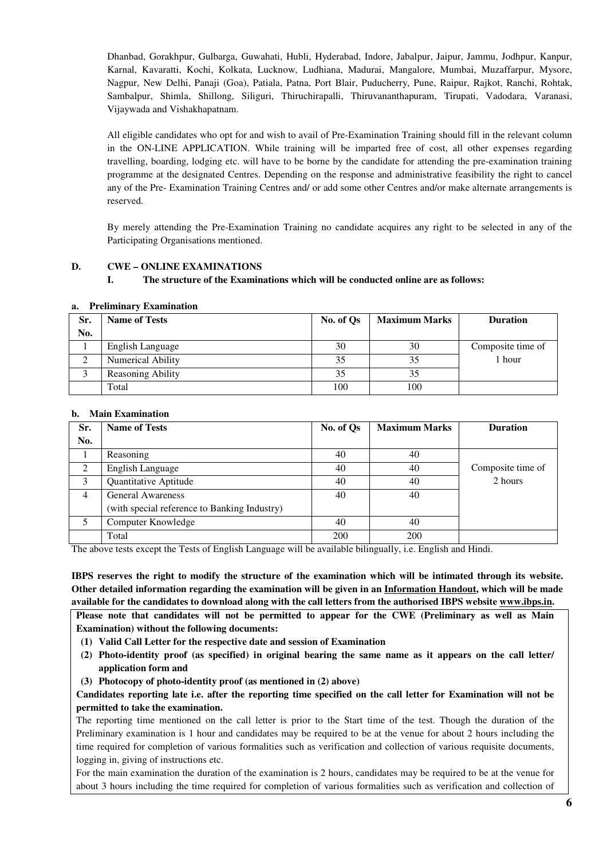Dhanbad, Gorakhpur, Gulbarga, Guwahati, Hubli, Hyderabad, Indore, Jabalpur, Jaipur, Jammu, Jodhpur, Kanpur, Karnal, Kavaratti, Kochi, Kolkata, Lucknow, Ludhiana, Madurai, Mangalore, Mumbai, Muzaffarpur, Mysore, Nagpur, New Delhi, Panaji (Goa), Patiala, Patna, Port Blair, Puducherry, Pune, Raipur, Rajkot, Ranchi, Rohtak, Sambalpur, Shimla, Shillong, Siliguri, Thiruchirapalli, Thiruvananthapuram, Tirupati, Vadodara, Varanasi, Vijaywada and Vishakhapatnam.

All eligible candidates who opt for and wish to avail of Pre-Examination Training should fill in the relevant column in the ON-LINE APPLICATION. While training will be imparted free of cost, all other expenses regarding travelling, boarding, lodging etc. will have to be borne by the candidate for attending the pre-examination training programme at the designated Centres. Depending on the response and administrative feasibility the right to cancel any of the Pre- Examination Training Centres and/ or add some other Centres and/or make alternate arrangements is reserved.

By merely attending the Pre-Examination Training no candidate acquires any right to be selected in any of the Participating Organisations mentioned.

## **D. CWE – ONLINE EXAMINATIONS**

### **I. The structure of the Examinations which will be conducted online are as follows:**

| Sr. | <b>Name of Tests</b>     | No. of Os | <b>Maximum Marks</b> | <b>Duration</b>   |
|-----|--------------------------|-----------|----------------------|-------------------|
| No. |                          |           |                      |                   |
|     | English Language         | 30        | 30                   | Composite time of |
| ◠   | Numerical Ability        | 35        | 35                   | 1 hour            |
|     | <b>Reasoning Ability</b> | 35        | 35                   |                   |
|     | Total                    | 100       | 100                  |                   |

#### **a. Preliminary Examination**

#### **b. Main Examination**

| Sr. | <b>Name of Tests</b>                         | No. of Qs  | <b>Maximum Marks</b> | <b>Duration</b>   |
|-----|----------------------------------------------|------------|----------------------|-------------------|
| No. |                                              |            |                      |                   |
|     | Reasoning                                    | 40         | 40                   |                   |
| 2   | English Language                             | 40         | 40                   | Composite time of |
| 3   | Quantitative Aptitude                        | 40         | 40                   | 2 hours           |
| 4   | <b>General Awareness</b>                     | 40         | 40                   |                   |
|     | (with special reference to Banking Industry) |            |                      |                   |
| 5   | Computer Knowledge                           | 40         | 40                   |                   |
|     | Total                                        | <b>200</b> | 200                  |                   |

The above tests except the Tests of English Language will be available bilingually, i.e. English and Hindi.

**IBPS reserves the right to modify the structure of the examination which will be intimated through its website. Other detailed information regarding the examination will be given in an Information Handout, which will be made available for the candidates to download along with the call letters from the authorised IBPS website www.ibps.in.** 

**Please note that candidates will not be permitted to appear for the CWE (Preliminary as well as Main Examination) without the following documents:** 

- **(1) Valid Call Letter for the respective date and session of Examination**
- **(2) Photo-identity proof (as specified) in original bearing the same name as it appears on the call letter/ application form and**
- **(3) Photocopy of photo-identity proof (as mentioned in (2) above)**

**Candidates reporting late i.e. after the reporting time specified on the call letter for Examination will not be permitted to take the examination.** 

The reporting time mentioned on the call letter is prior to the Start time of the test. Though the duration of the Preliminary examination is 1 hour and candidates may be required to be at the venue for about 2 hours including the time required for completion of various formalities such as verification and collection of various requisite documents, logging in, giving of instructions etc.

For the main examination the duration of the examination is 2 hours, candidates may be required to be at the venue for about 3 hours including the time required for completion of various formalities such as verification and collection of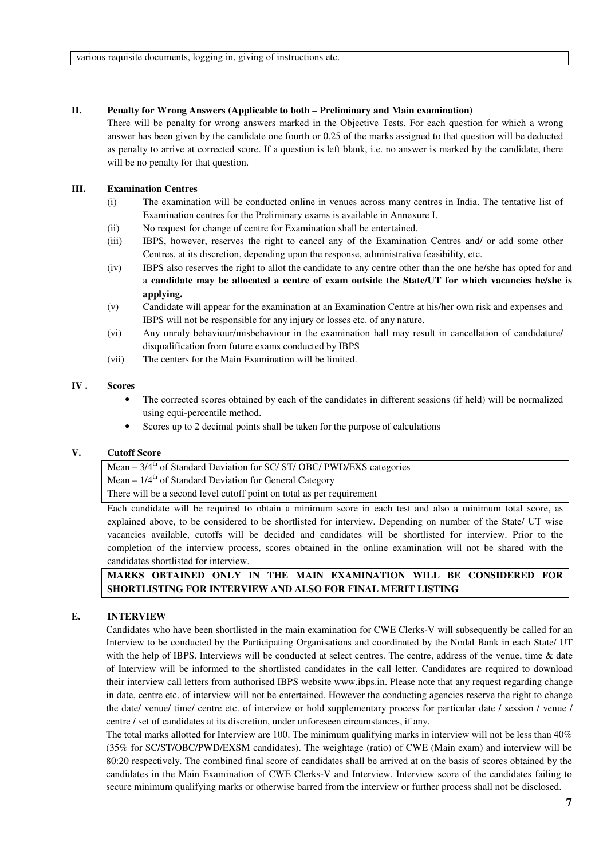#### **II. Penalty for Wrong Answers (Applicable to both – Preliminary and Main examination)**

There will be penalty for wrong answers marked in the Objective Tests. For each question for which a wrong answer has been given by the candidate one fourth or 0.25 of the marks assigned to that question will be deducted as penalty to arrive at corrected score. If a question is left blank, i.e. no answer is marked by the candidate, there will be no penalty for that question.

#### **III. Examination Centres**

- (i) The examination will be conducted online in venues across many centres in India. The tentative list of Examination centres for the Preliminary exams is available in Annexure I.
- (ii) No request for change of centre for Examination shall be entertained.
- (iii) IBPS, however, reserves the right to cancel any of the Examination Centres and/ or add some other Centres, at its discretion, depending upon the response, administrative feasibility, etc.
- (iv) IBPS also reserves the right to allot the candidate to any centre other than the one he/she has opted for and a **candidate may be allocated a centre of exam outside the State/UT for which vacancies he/she is applying.**
- (v) Candidate will appear for the examination at an Examination Centre at his/her own risk and expenses and IBPS will not be responsible for any injury or losses etc. of any nature.
- (vi) Any unruly behaviour/misbehaviour in the examination hall may result in cancellation of candidature/ disqualification from future exams conducted by IBPS
- (vii) The centers for the Main Examination will be limited.

#### **IV . Scores**

- The corrected scores obtained by each of the candidates in different sessions (if held) will be normalized using equi-percentile method.
- Scores up to 2 decimal points shall be taken for the purpose of calculations

## **V. Cutoff Score**

## Mean  $-3/4$ <sup>th</sup> of Standard Deviation for SC/ ST/ OBC/ PWD/EXS categories

Mean  $-1/4<sup>th</sup>$  of Standard Deviation for General Category

There will be a second level cutoff point on total as per requirement

Each candidate will be required to obtain a minimum score in each test and also a minimum total score, as explained above, to be considered to be shortlisted for interview. Depending on number of the State/ UT wise vacancies available, cutoffs will be decided and candidates will be shortlisted for interview. Prior to the completion of the interview process, scores obtained in the online examination will not be shared with the candidates shortlisted for interview.

## **MARKS OBTAINED ONLY IN THE MAIN EXAMINATION WILL BE CONSIDERED FOR SHORTLISTING FOR INTERVIEW AND ALSO FOR FINAL MERIT LISTING**

#### **E. INTERVIEW**

Candidates who have been shortlisted in the main examination for CWE Clerks-V will subsequently be called for an Interview to be conducted by the Participating Organisations and coordinated by the Nodal Bank in each State/ UT with the help of IBPS. Interviews will be conducted at select centres. The centre, address of the venue, time & date of Interview will be informed to the shortlisted candidates in the call letter. Candidates are required to download their interview call letters from authorised IBPS website www.ibps.in. Please note that any request regarding change in date, centre etc. of interview will not be entertained. However the conducting agencies reserve the right to change the date/ venue/ time/ centre etc. of interview or hold supplementary process for particular date / session / venue / centre / set of candidates at its discretion, under unforeseen circumstances, if any.

The total marks allotted for Interview are 100. The minimum qualifying marks in interview will not be less than 40% (35% for SC/ST/OBC/PWD/EXSM candidates). The weightage (ratio) of CWE (Main exam) and interview will be 80:20 respectively. The combined final score of candidates shall be arrived at on the basis of scores obtained by the candidates in the Main Examination of CWE Clerks-V and Interview. Interview score of the candidates failing to secure minimum qualifying marks or otherwise barred from the interview or further process shall not be disclosed.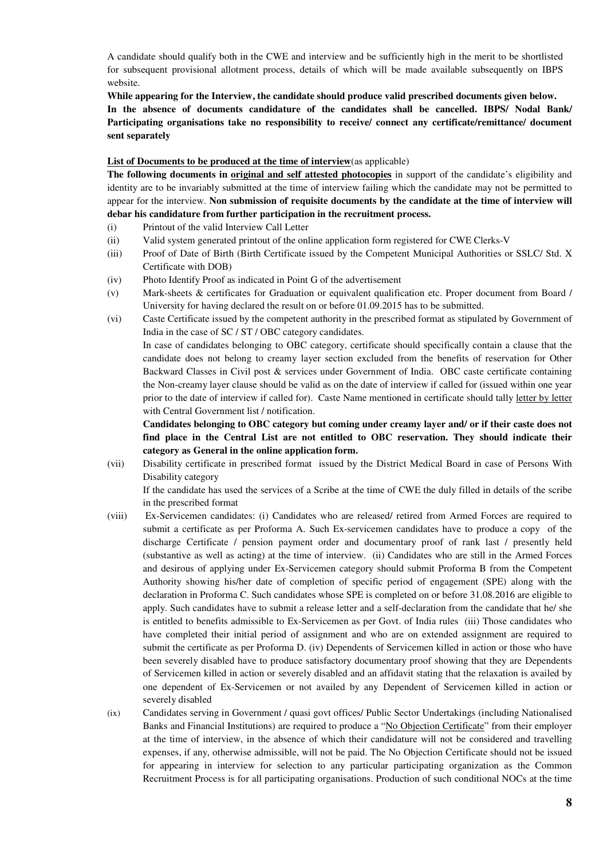A candidate should qualify both in the CWE and interview and be sufficiently high in the merit to be shortlisted for subsequent provisional allotment process, details of which will be made available subsequently on IBPS website.

**While appearing for the Interview, the candidate should produce valid prescribed documents given below.** 

**In the absence of documents candidature of the candidates shall be cancelled. IBPS/ Nodal Bank/ Participating organisations take no responsibility to receive/ connect any certificate/remittance/ document sent separately** 

### **List of Documents to be produced at the time of interview**(as applicable)

**The following documents in original and self attested photocopies** in support of the candidate's eligibility and identity are to be invariably submitted at the time of interview failing which the candidate may not be permitted to appear for the interview. **Non submission of requisite documents by the candidate at the time of interview will debar his candidature from further participation in the recruitment process.** 

- (i) Printout of the valid Interview Call Letter
- (ii) Valid system generated printout of the online application form registered for CWE Clerks-V
- (iii) Proof of Date of Birth (Birth Certificate issued by the Competent Municipal Authorities or SSLC/ Std. X Certificate with DOB)
- (iv) Photo Identify Proof as indicated in Point G of the advertisement
- (v) Mark-sheets & certificates for Graduation or equivalent qualification etc. Proper document from Board / University for having declared the result on or before 01.09.2015 has to be submitted.
- (vi) Caste Certificate issued by the competent authority in the prescribed format as stipulated by Government of India in the case of SC / ST / OBC category candidates.

In case of candidates belonging to OBC category, certificate should specifically contain a clause that the candidate does not belong to creamy layer section excluded from the benefits of reservation for Other Backward Classes in Civil post & services under Government of India. OBC caste certificate containing the Non-creamy layer clause should be valid as on the date of interview if called for (issued within one year prior to the date of interview if called for).Caste Name mentioned in certificate should tally letter by letter with Central Government list / notification.

**Candidates belonging to OBC category but coming under creamy layer and/ or if their caste does not find place in the Central List are not entitled to OBC reservation. They should indicate their category as General in the online application form.**

(vii) Disability certificate in prescribed format issued by the District Medical Board in case of Persons With Disability category

If the candidate has used the services of a Scribe at the time of CWE the duly filled in details of the scribe in the prescribed format

- (viii) Ex-Servicemen candidates: (i) Candidates who are released/ retired from Armed Forces are required to submit a certificate as per Proforma A. Such Ex-servicemen candidates have to produce a copy of the discharge Certificate / pension payment order and documentary proof of rank last / presently held (substantive as well as acting) at the time of interview. (ii) Candidates who are still in the Armed Forces and desirous of applying under Ex-Servicemen category should submit Proforma B from the Competent Authority showing his/her date of completion of specific period of engagement (SPE) along with the declaration in Proforma C. Such candidates whose SPE is completed on or before 31.08.2016 are eligible to apply. Such candidates have to submit a release letter and a self-declaration from the candidate that he/ she is entitled to benefits admissible to Ex-Servicemen as per Govt. of India rules (iii) Those candidates who have completed their initial period of assignment and who are on extended assignment are required to submit the certificate as per Proforma D. (iv) Dependents of Servicemen killed in action or those who have been severely disabled have to produce satisfactory documentary proof showing that they are Dependents of Servicemen killed in action or severely disabled and an affidavit stating that the relaxation is availed by one dependent of Ex-Servicemen or not availed by any Dependent of Servicemen killed in action or severely disabled
- (ix) Candidates serving in Government / quasi govt offices/ Public Sector Undertakings (including Nationalised Banks and Financial Institutions) are required to produce a "No Objection Certificate" from their employer at the time of interview, in the absence of which their candidature will not be considered and travelling expenses, if any, otherwise admissible, will not be paid. The No Objection Certificate should not be issued for appearing in interview for selection to any particular participating organization as the Common Recruitment Process is for all participating organisations. Production of such conditional NOCs at the time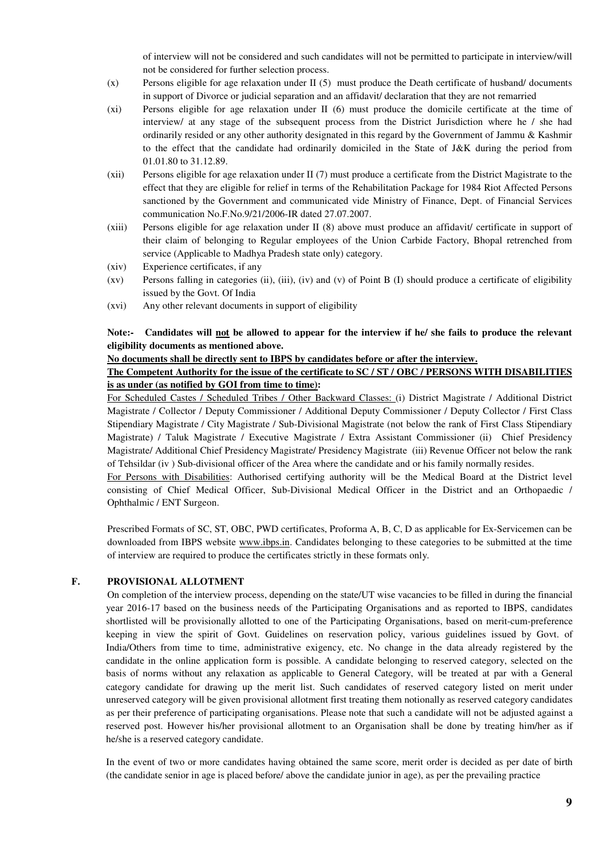of interview will not be considered and such candidates will not be permitted to participate in interview/will not be considered for further selection process.

- (x) Persons eligible for age relaxation under II (5) must produce the Death certificate of husband/ documents in support of Divorce or judicial separation and an affidavit/ declaration that they are not remarried
- (xi) Persons eligible for age relaxation under II (6) must produce the domicile certificate at the time of interview/ at any stage of the subsequent process from the District Jurisdiction where he / she had ordinarily resided or any other authority designated in this regard by the Government of Jammu & Kashmir to the effect that the candidate had ordinarily domiciled in the State of J&K during the period from 01.01.80 to 31.12.89.
- (xii) Persons eligible for age relaxation under II (7) must produce a certificate from the District Magistrate to the effect that they are eligible for relief in terms of the Rehabilitation Package for 1984 Riot Affected Persons sanctioned by the Government and communicated vide Ministry of Finance, Dept. of Financial Services communication No.F.No.9/21/2006-IR dated 27.07.2007.
- (xiii) Persons eligible for age relaxation under II (8) above must produce an affidavit/ certificate in support of their claim of belonging to Regular employees of the Union Carbide Factory, Bhopal retrenched from service (Applicable to Madhya Pradesh state only) category.
- (xiv) Experience certificates, if any
- (xv) Persons falling in categories (ii), (iii), (iv) and (v) of Point B (I) should produce a certificate of eligibility issued by the Govt. Of India
- (xvi) Any other relevant documents in support of eligibility

## **Note:- Candidates will not be allowed to appear for the interview if he/ she fails to produce the relevant eligibility documents as mentioned above.**

## **No documents shall be directly sent to IBPS by candidates before or after the interview.**

## **The Competent Authority for the issue of the certificate to SC / ST / OBC / PERSONS WITH DISABILITIES is as under (as notified by GOI from time to time):**

For Scheduled Castes / Scheduled Tribes / Other Backward Classes: (i) District Magistrate / Additional District Magistrate / Collector / Deputy Commissioner / Additional Deputy Commissioner / Deputy Collector / First Class Stipendiary Magistrate / City Magistrate / Sub-Divisional Magistrate (not below the rank of First Class Stipendiary Magistrate) / Taluk Magistrate / Executive Magistrate / Extra Assistant Commissioner (ii) Chief Presidency Magistrate/ Additional Chief Presidency Magistrate/ Presidency Magistrate (iii) Revenue Officer not below the rank of Tehsildar (iv ) Sub-divisional officer of the Area where the candidate and or his family normally resides.

For Persons with Disabilities: Authorised certifying authority will be the Medical Board at the District level consisting of Chief Medical Officer, Sub-Divisional Medical Officer in the District and an Orthopaedic / Ophthalmic / ENT Surgeon.

Prescribed Formats of SC, ST, OBC, PWD certificates, Proforma A, B, C, D as applicable for Ex-Servicemen can be downloaded from IBPS website www.ibps.in. Candidates belonging to these categories to be submitted at the time of interview are required to produce the certificates strictly in these formats only.

## **F. PROVISIONAL ALLOTMENT**

On completion of the interview process, depending on the state/UT wise vacancies to be filled in during the financial year 2016-17 based on the business needs of the Participating Organisations and as reported to IBPS, candidates shortlisted will be provisionally allotted to one of the Participating Organisations, based on merit-cum-preference keeping in view the spirit of Govt. Guidelines on reservation policy, various guidelines issued by Govt. of India/Others from time to time, administrative exigency, etc. No change in the data already registered by the candidate in the online application form is possible. A candidate belonging to reserved category, selected on the basis of norms without any relaxation as applicable to General Category, will be treated at par with a General category candidate for drawing up the merit list. Such candidates of reserved category listed on merit under unreserved category will be given provisional allotment first treating them notionally as reserved category candidates as per their preference of participating organisations. Please note that such a candidate will not be adjusted against a reserved post. However his/her provisional allotment to an Organisation shall be done by treating him/her as if he/she is a reserved category candidate.

In the event of two or more candidates having obtained the same score, merit order is decided as per date of birth (the candidate senior in age is placed before/ above the candidate junior in age), as per the prevailing practice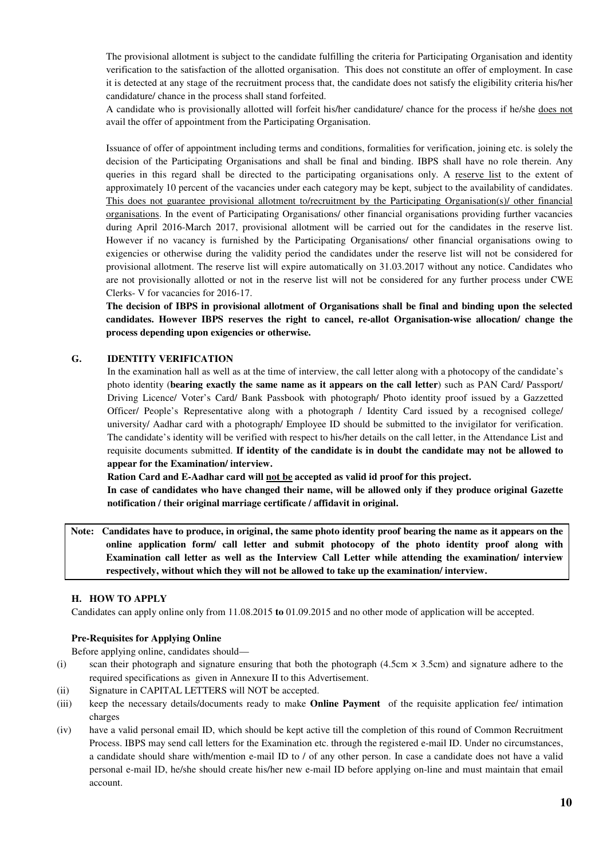The provisional allotment is subject to the candidate fulfilling the criteria for Participating Organisation and identity verification to the satisfaction of the allotted organisation. This does not constitute an offer of employment. In case it is detected at any stage of the recruitment process that, the candidate does not satisfy the eligibility criteria his/her candidature/ chance in the process shall stand forfeited.

A candidate who is provisionally allotted will forfeit his/her candidature/ chance for the process if he/she does not avail the offer of appointment from the Participating Organisation.

Issuance of offer of appointment including terms and conditions, formalities for verification, joining etc. is solely the decision of the Participating Organisations and shall be final and binding. IBPS shall have no role therein. Any queries in this regard shall be directed to the participating organisations only. A reserve list to the extent of approximately 10 percent of the vacancies under each category may be kept, subject to the availability of candidates. This does not guarantee provisional allotment to/recruitment by the Participating Organisation(s)/ other financial organisations. In the event of Participating Organisations/ other financial organisations providing further vacancies during April 2016-March 2017, provisional allotment will be carried out for the candidates in the reserve list. However if no vacancy is furnished by the Participating Organisations/ other financial organisations owing to exigencies or otherwise during the validity period the candidates under the reserve list will not be considered for provisional allotment. The reserve list will expire automatically on 31.03.2017 without any notice. Candidates who are not provisionally allotted or not in the reserve list will not be considered for any further process under CWE Clerks- V for vacancies for 2016-17.

**The decision of IBPS in provisional allotment of Organisations shall be final and binding upon the selected candidates. However IBPS reserves the right to cancel, re-allot Organisation-wise allocation/ change the process depending upon exigencies or otherwise.** 

### **G. IDENTITY VERIFICATION**

In the examination hall as well as at the time of interview, the call letter along with a photocopy of the candidate's photo identity (**bearing exactly the same name as it appears on the call letter**) such as PAN Card/ Passport/ Driving Licence/ Voter's Card/ Bank Passbook with photograph/ Photo identity proof issued by a Gazzetted Officer/ People's Representative along with a photograph / Identity Card issued by a recognised college/ university/ Aadhar card with a photograph/ Employee ID should be submitted to the invigilator for verification. The candidate's identity will be verified with respect to his/her details on the call letter, in the Attendance List and requisite documents submitted. **If identity of the candidate is in doubt the candidate may not be allowed to appear for the Examination/ interview.** 

**Ration Card and E-Aadhar card will not be accepted as valid id proof for this project.** 

**In case of candidates who have changed their name, will be allowed only if they produce original Gazette notification / their original marriage certificate / affidavit in original.** 

**Note: Candidates have to produce, in original, the same photo identity proof bearing the name as it appears on the online application form/ call letter and submit photocopy of the photo identity proof along with Examination call letter as well as the Interview Call Letter while attending the examination/ interview respectively, without which they will not be allowed to take up the examination/ interview.** 

#### **H. HOW TO APPLY**

Candidates can apply online only from 11.08.2015 **to** 01.09.2015 and no other mode of application will be accepted.

#### **Pre-Requisites for Applying Online**

Before applying online, candidates should—

- (i) scan their photograph and signature ensuring that both the photograph  $(4.5cm \times 3.5cm)$  and signature adhere to the required specifications as given in Annexure II to this Advertisement.
- (ii) Signature in CAPITAL LETTERS will NOT be accepted.
- (iii) keep the necessary details/documents ready to make **Online Payment** of the requisite application fee/ intimation charges
- (iv) have a valid personal email ID, which should be kept active till the completion of this round of Common Recruitment Process. IBPS may send call letters for the Examination etc. through the registered e-mail ID. Under no circumstances, a candidate should share with/mention e-mail ID to / of any other person. In case a candidate does not have a valid personal e-mail ID, he/she should create his/her new e-mail ID before applying on-line and must maintain that email account.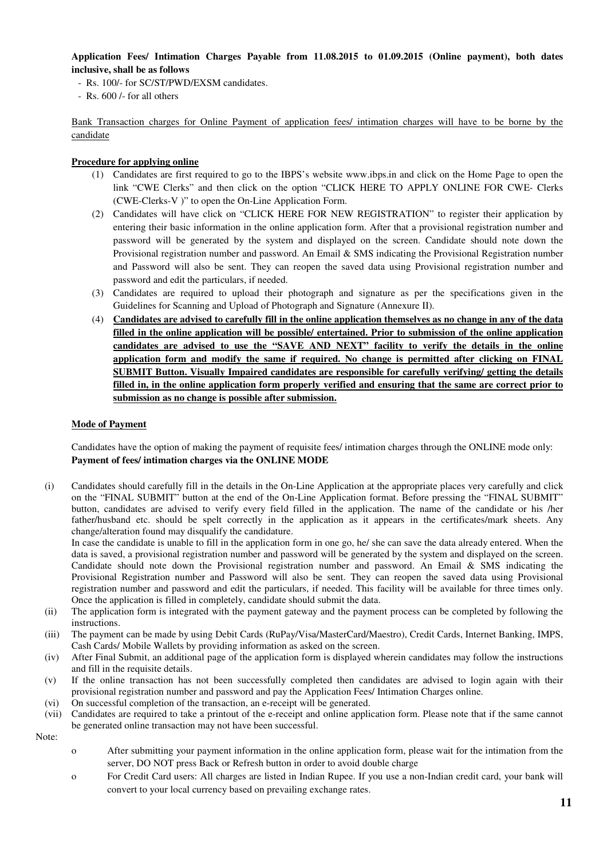### **Application Fees/ Intimation Charges Payable from 11.08.2015 to 01.09.2015 (Online payment), both dates inclusive, shall be as follows**

- Rs. 100/- for SC/ST/PWD/EXSM candidates.
- Rs. 600 /- for all others

Bank Transaction charges for Online Payment of application fees/ intimation charges will have to be borne by the candidate

### **Procedure for applying online**

- (1) Candidates are first required to go to the IBPS's website www.ibps.in and click on the Home Page to open the link "CWE Clerks" and then click on the option "CLICK HERE TO APPLY ONLINE FOR CWE- Clerks (CWE-Clerks-V )" to open the On-Line Application Form.
- (2) Candidates will have click on "CLICK HERE FOR NEW REGISTRATION" to register their application by entering their basic information in the online application form. After that a provisional registration number and password will be generated by the system and displayed on the screen. Candidate should note down the Provisional registration number and password. An Email & SMS indicating the Provisional Registration number and Password will also be sent. They can reopen the saved data using Provisional registration number and password and edit the particulars, if needed.
- (3) Candidates are required to upload their photograph and signature as per the specifications given in the Guidelines for Scanning and Upload of Photograph and Signature (Annexure II).
- (4) **Candidates are advised to carefully fill in the online application themselves as no change in any of the data filled in the online application will be possible/ entertained. Prior to submission of the online application candidates are advised to use the "SAVE AND NEXT" facility to verify the details in the online application form and modify the same if required. No change is permitted after clicking on FINAL SUBMIT Button. Visually Impaired candidates are responsible for carefully verifying/ getting the details filled in, in the online application form properly verified and ensuring that the same are correct prior to submission as no change is possible after submission.**

### **Mode of Payment**

Candidates have the option of making the payment of requisite fees/ intimation charges through the ONLINE mode only: **Payment of fees/ intimation charges via the ONLINE MODE** 

(i) Candidates should carefully fill in the details in the On-Line Application at the appropriate places very carefully and click on the "FINAL SUBMIT" button at the end of the On-Line Application format. Before pressing the "FINAL SUBMIT" button, candidates are advised to verify every field filled in the application. The name of the candidate or his /her father/husband etc. should be spelt correctly in the application as it appears in the certificates/mark sheets. Any change/alteration found may disqualify the candidature.

In case the candidate is unable to fill in the application form in one go, he/ she can save the data already entered. When the data is saved, a provisional registration number and password will be generated by the system and displayed on the screen. Candidate should note down the Provisional registration number and password. An Email & SMS indicating the Provisional Registration number and Password will also be sent. They can reopen the saved data using Provisional registration number and password and edit the particulars, if needed. This facility will be available for three times only. Once the application is filled in completely, candidate should submit the data.

- (ii) The application form is integrated with the payment gateway and the payment process can be completed by following the instructions.
- (iii) The payment can be made by using Debit Cards (RuPay/Visa/MasterCard/Maestro), Credit Cards, Internet Banking, IMPS, Cash Cards/ Mobile Wallets by providing information as asked on the screen.
- (iv) After Final Submit, an additional page of the application form is displayed wherein candidates may follow the instructions and fill in the requisite details.
- (v) If the online transaction has not been successfully completed then candidates are advised to login again with their provisional registration number and password and pay the Application Fees/ Intimation Charges online.
- (vi) On successful completion of the transaction, an e-receipt will be generated.
- (vii) Candidates are required to take a printout of the e-receipt and online application form. Please note that if the same cannot be generated online transaction may not have been successful.

Note:

- o After submitting your payment information in the online application form, please wait for the intimation from the server, DO NOT press Back or Refresh button in order to avoid double charge
- o For Credit Card users: All charges are listed in Indian Rupee. If you use a non-Indian credit card, your bank will convert to your local currency based on prevailing exchange rates.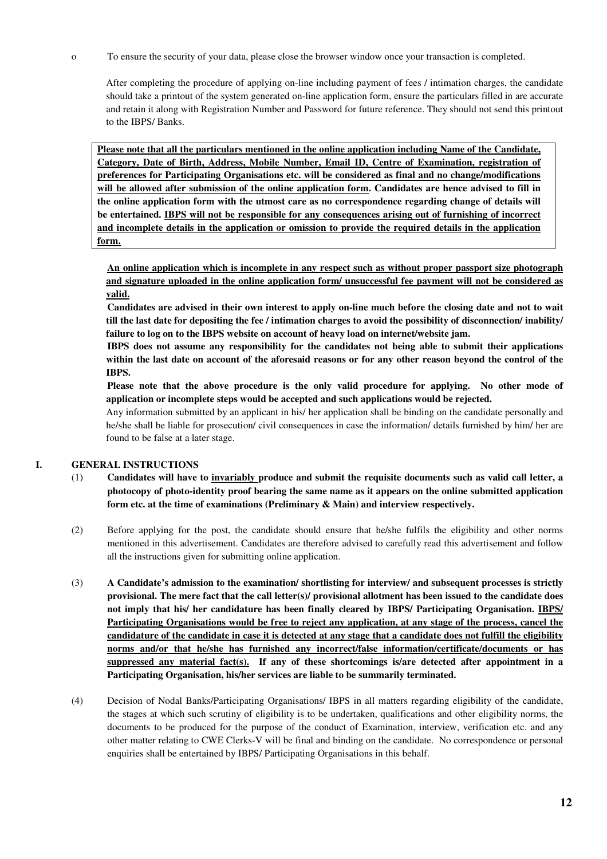o To ensure the security of your data, please close the browser window once your transaction is completed.

After completing the procedure of applying on-line including payment of fees / intimation charges, the candidate should take a printout of the system generated on-line application form, ensure the particulars filled in are accurate and retain it along with Registration Number and Password for future reference. They should not send this printout to the IBPS/ Banks.

**Please note that all the particulars mentioned in the online application including Name of the Candidate, Category, Date of Birth, Address, Mobile Number, Email ID, Centre of Examination, registration of preferences for Participating Organisations etc. will be considered as final and no change/modifications will be allowed after submission of the online application form. Candidates are hence advised to fill in the online application form with the utmost care as no correspondence regarding change of details will be entertained. IBPS will not be responsible for any consequences arising out of furnishing of incorrect and incomplete details in the application or omission to provide the required details in the application form.**

**An online application which is incomplete in any respect such as without proper passport size photograph and signature uploaded in the online application form/ unsuccessful fee payment will not be considered as valid.**

 **Candidates are advised in their own interest to apply on-line much before the closing date and not to wait till the last date for depositing the fee / intimation charges to avoid the possibility of disconnection/ inability/ failure to log on to the IBPS website on account of heavy load on internet/website jam.** 

 **IBPS does not assume any responsibility for the candidates not being able to submit their applications within the last date on account of the aforesaid reasons or for any other reason beyond the control of the IBPS.** 

 **Please note that the above procedure is the only valid procedure for applying. No other mode of application or incomplete steps would be accepted and such applications would be rejected.** 

Any information submitted by an applicant in his/ her application shall be binding on the candidate personally and he/she shall be liable for prosecution/ civil consequences in case the information/ details furnished by him/ her are found to be false at a later stage.

## **I. GENERAL INSTRUCTIONS**

- (1) **Candidates will have to invariably produce and submit the requisite documents such as valid call letter, a photocopy of photo-identity proof bearing the same name as it appears on the online submitted application form etc. at the time of examinations (Preliminary & Main) and interview respectively.**
- (2)Before applying for the post, the candidate should ensure that he/she fulfils the eligibility and other norms mentioned in this advertisement. Candidates are therefore advised to carefully read this advertisement and follow all the instructions given for submitting online application.
- (3) **A Candidate's admission to the examination/ shortlisting for interview/ and subsequent processes is strictly provisional. The mere fact that the call letter(s)/ provisional allotment has been issued to the candidate does not imply that his/ her candidature has been finally cleared by IBPS/ Participating Organisation. IBPS/ Participating Organisations would be free to reject any application, at any stage of the process, cancel the candidature of the candidate in case it is detected at any stage that a candidate does not fulfill the eligibility norms and/or that he/she has furnished any incorrect/false information/certificate/documents or has suppressed any material fact(s). If any of these shortcomings is/are detected after appointment in a Participating Organisation, his/her services are liable to be summarily terminated.**
- (4) Decision of Nodal Banks/Participating Organisations/ IBPS in all matters regarding eligibility of the candidate, the stages at which such scrutiny of eligibility is to be undertaken, qualifications and other eligibility norms, the documents to be produced for the purpose of the conduct of Examination, interview, verification etc. and any other matter relating to CWE Clerks-V will be final and binding on the candidate. No correspondence or personal enquiries shall be entertained by IBPS/ Participating Organisations in this behalf.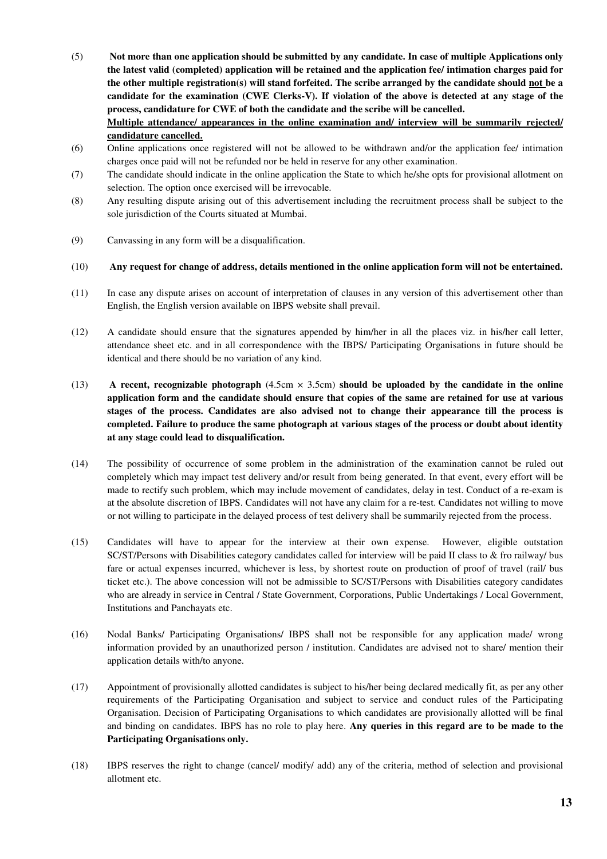- (5) **Not more than one application should be submitted by any candidate. In case of multiple Applications only the latest valid (completed) application will be retained and the application fee/ intimation charges paid for the other multiple registration(s) will stand forfeited. The scribe arranged by the candidate should not be a candidate for the examination (CWE Clerks-V). If violation of the above is detected at any stage of the process, candidature for CWE of both the candidate and the scribe will be cancelled. Multiple attendance/ appearances in the online examination and/ interview will be summarily rejected/ candidature cancelled.**
- (6) Online applications once registered will not be allowed to be withdrawn and/or the application fee/ intimation charges once paid will not be refunded nor be held in reserve for any other examination.
- (7) The candidate should indicate in the online application the State to which he/she opts for provisional allotment on selection. The option once exercised will be irrevocable.
- (8) Any resulting dispute arising out of this advertisement including the recruitment process shall be subject to the sole jurisdiction of the Courts situated at Mumbai.
- (9) Canvassing in any form will be a disqualification.

### (10) **Any request for change of address, details mentioned in the online application form will not be entertained.**

- (11) In case any dispute arises on account of interpretation of clauses in any version of this advertisement other than English, the English version available on IBPS website shall prevail.
- (12) A candidate should ensure that the signatures appended by him/her in all the places viz. in his/her call letter, attendance sheet etc. and in all correspondence with the IBPS/ Participating Organisations in future should be identical and there should be no variation of any kind.
- (13) **A recent, recognizable photograph** (4.5cm × 3.5cm) **should be uploaded by the candidate in the online application form and the candidate should ensure that copies of the same are retained for use at various stages of the process. Candidates are also advised not to change their appearance till the process is completed. Failure to produce the same photograph at various stages of the process or doubt about identity at any stage could lead to disqualification.**
- (14) The possibility of occurrence of some problem in the administration of the examination cannot be ruled out completely which may impact test delivery and/or result from being generated. In that event, every effort will be made to rectify such problem, which may include movement of candidates, delay in test. Conduct of a re-exam is at the absolute discretion of IBPS. Candidates will not have any claim for a re-test. Candidates not willing to move or not willing to participate in the delayed process of test delivery shall be summarily rejected from the process.
- (15) Candidates will have to appear for the interview at their own expense. However, eligible outstation SC/ST/Persons with Disabilities category candidates called for interview will be paid II class to & fro railway/ bus fare or actual expenses incurred, whichever is less, by shortest route on production of proof of travel (rail/ bus ticket etc.). The above concession will not be admissible to SC/ST/Persons with Disabilities category candidates who are already in service in Central / State Government, Corporations, Public Undertakings / Local Government, Institutions and Panchayats etc.
- (16) Nodal Banks/ Participating Organisations/ IBPS shall not be responsible for any application made/ wrong information provided by an unauthorized person / institution. Candidates are advised not to share/ mention their application details with/to anyone.
- (17) Appointment of provisionally allotted candidates is subject to his/her being declared medically fit, as per any other requirements of the Participating Organisation and subject to service and conduct rules of the Participating Organisation. Decision of Participating Organisations to which candidates are provisionally allotted will be final and binding on candidates. IBPS has no role to play here. **Any queries in this regard are to be made to the Participating Organisations only.**
- (18) IBPS reserves the right to change (cancel/ modify/ add) any of the criteria, method of selection and provisional allotment etc.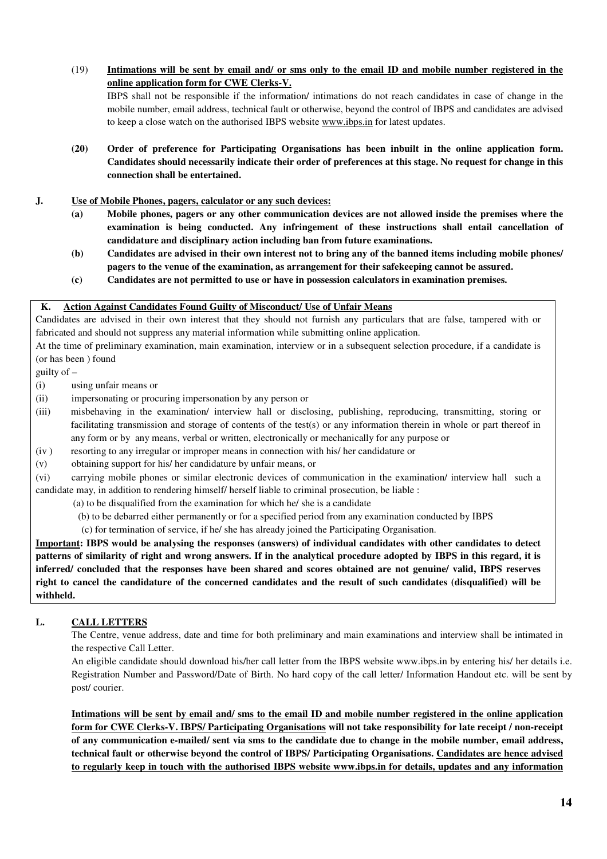(19) **Intimations will be sent by email and/ or sms only to the email ID and mobile number registered in the online application form for CWE Clerks-V.**

 IBPS shall not be responsible if the information/ intimations do not reach candidates in case of change in the mobile number, email address, technical fault or otherwise, beyond the control of IBPS and candidates are advised to keep a close watch on the authorised IBPS website www.ibps.in for latest updates.

- **(20) Order of preference for Participating Organisations has been inbuilt in the online application form. Candidates should necessarily indicate their order of preferences at this stage. No request for change in this connection shall be entertained.**
- **J. Use of Mobile Phones, pagers, calculator or any such devices:** 
	- **(a) Mobile phones, pagers or any other communication devices are not allowed inside the premises where the examination is being conducted. Any infringement of these instructions shall entail cancellation of candidature and disciplinary action including ban from future examinations.**
	- **(b) Candidates are advised in their own interest not to bring any of the banned items including mobile phones/ pagers to the venue of the examination, as arrangement for their safekeeping cannot be assured.**
	- **(c) Candidates are not permitted to use or have in possession calculators in examination premises.**

### **K. Action Against Candidates Found Guilty of Misconduct/ Use of Unfair Means**

Candidates are advised in their own interest that they should not furnish any particulars that are false, tampered with or fabricated and should not suppress any material information while submitting online application.

At the time of preliminary examination, main examination, interview or in a subsequent selection procedure, if a candidate is (or has been ) found

guilty of –

(i) using unfair means or

- (ii) impersonating or procuring impersonation by any person or
- (iii) misbehaving in the examination/ interview hall or disclosing, publishing, reproducing, transmitting, storing or facilitating transmission and storage of contents of the test(s) or any information therein in whole or part thereof in any form or by any means, verbal or written, electronically or mechanically for any purpose or
- (iv ) resorting to any irregular or improper means in connection with his/ her candidature or

(v) obtaining support for his/ her candidature by unfair means, or

(vi) carrying mobile phones or similar electronic devices of communication in the examination/ interview hall such a candidate may, in addition to rendering himself/ herself liable to criminal prosecution, be liable :

- (a) to be disqualified from the examination for which he/ she is a candidate
- (b) to be debarred either permanently or for a specified period from any examination conducted by IBPS

(c) for termination of service, if he/ she has already joined the Participating Organisation.

**Important: IBPS would be analysing the responses (answers) of individual candidates with other candidates to detect patterns of similarity of right and wrong answers. If in the analytical procedure adopted by IBPS in this regard, it is inferred/ concluded that the responses have been shared and scores obtained are not genuine/ valid, IBPS reserves right to cancel the candidature of the concerned candidates and the result of such candidates (disqualified) will be withheld.** 

## **L. CALL LETTERS**

The Centre, venue address, date and time for both preliminary and main examinations and interview shall be intimated in the respective Call Letter.

An eligible candidate should download his/her call letter from the IBPS website www.ibps.in by entering his/ her details i.e. Registration Number and Password/Date of Birth. No hard copy of the call letter/ Information Handout etc. will be sent by post/ courier.

**Intimations will be sent by email and/ sms to the email ID and mobile number registered in the online application form for CWE Clerks-V. IBPS/ Participating Organisations will not take responsibility for late receipt / non-receipt of any communication e-mailed/ sent via sms to the candidate due to change in the mobile number, email address, technical fault or otherwise beyond the control of IBPS/ Participating Organisations. Candidates are hence advised to regularly keep in touch with the authorised IBPS website www.ibps.in for details, updates and any information**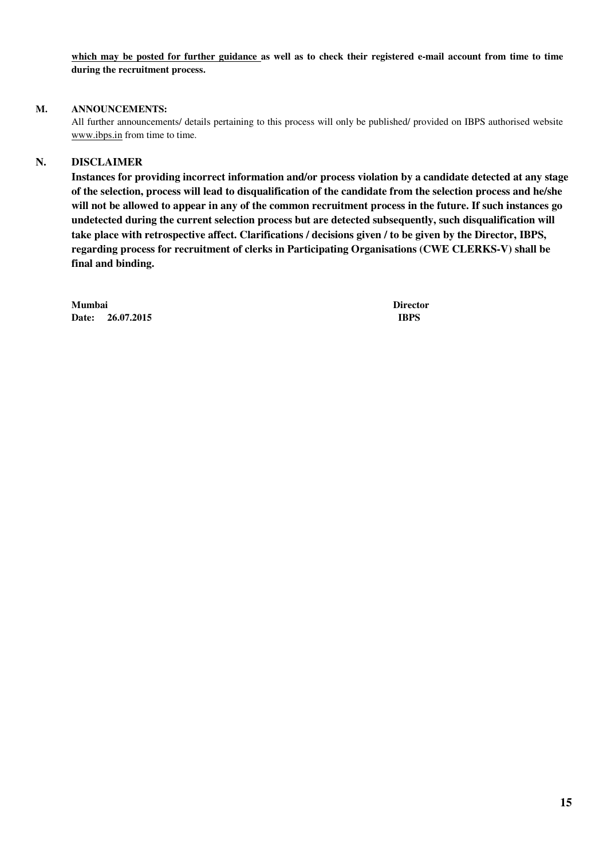**which may be posted for further guidance as well as to check their registered e-mail account from time to time during the recruitment process.** 

### **M. ANNOUNCEMENTS:**

All further announcements/ details pertaining to this process will only be published/ provided on IBPS authorised website www.ibps.in from time to time.

## **N. DISCLAIMER**

 **Instances for providing incorrect information and/or process violation by a candidate detected at any stage of the selection, process will lead to disqualification of the candidate from the selection process and he/she will not be allowed to appear in any of the common recruitment process in the future. If such instances go undetected during the current selection process but are detected subsequently, such disqualification will take place with retrospective affect. Clarifications / decisions given / to be given by the Director, IBPS, regarding process for recruitment of clerks in Participating Organisations (CWE CLERKS-V) shall be final and binding.** 

**Mumbai Director Date: 26.07.2015 IBPS**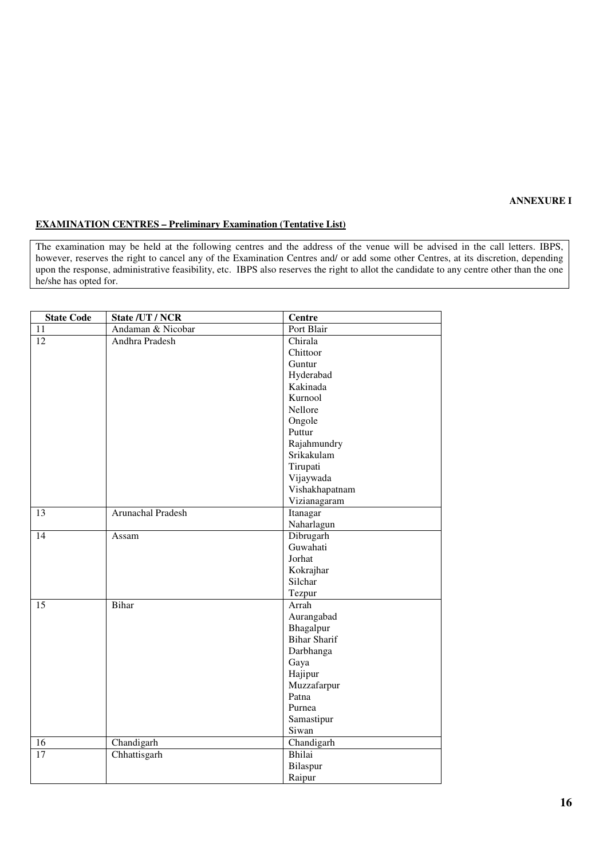#### **ANNEXURE I**

#### **EXAMINATION CENTRES – Preliminary Examination (Tentative List)**

The examination may be held at the following centres and the address of the venue will be advised in the call letters. IBPS, however, reserves the right to cancel any of the Examination Centres and/ or add some other Centres, at its discretion, depending upon the response, administrative feasibility, etc. IBPS also reserves the right to allot the candidate to any centre other than the one he/she has opted for.

| <b>State Code</b> | State /UT / NCR   | <b>Centre</b>       |
|-------------------|-------------------|---------------------|
| 11                | Andaman & Nicobar | Port Blair          |
| $\overline{12}$   | Andhra Pradesh    | Chirala             |
|                   |                   | Chittoor            |
|                   |                   | Guntur              |
|                   |                   | Hyderabad           |
|                   |                   | Kakinada            |
|                   |                   | Kurnool             |
|                   |                   | Nellore             |
|                   |                   | Ongole              |
|                   |                   | Puttur              |
|                   |                   | Rajahmundry         |
|                   |                   | Srikakulam          |
|                   |                   | Tirupati            |
|                   |                   | Vijaywada           |
|                   |                   | Vishakhapatnam      |
|                   |                   | Vizianagaram        |
| 13                | Arunachal Pradesh | Itanagar            |
|                   |                   | Naharlagun          |
| $\overline{14}$   | Assam             | Dibrugarh           |
|                   |                   | Guwahati            |
|                   |                   | Jorhat              |
|                   |                   | Kokrajhar           |
|                   |                   | Silchar             |
|                   |                   | Tezpur              |
| 15                | <b>Bihar</b>      | Arrah               |
|                   |                   | Aurangabad          |
|                   |                   | Bhagalpur           |
|                   |                   | <b>Bihar Sharif</b> |
|                   |                   | Darbhanga           |
|                   |                   | Gaya                |
|                   |                   | Hajipur             |
|                   |                   | Muzzafarpur         |
|                   |                   | Patna               |
|                   |                   | Purnea              |
|                   |                   | Samastipur          |
|                   |                   | Siwan               |
| 16                | Chandigarh        | Chandigarh          |
| $\overline{17}$   | Chhattisgarh      | Bhilai              |
|                   |                   | Bilaspur            |
|                   |                   | Raipur              |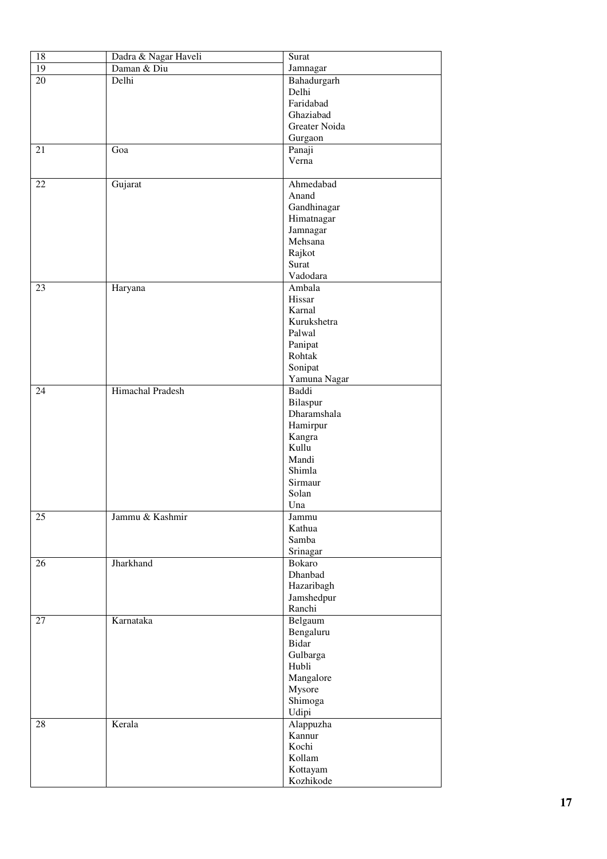| 18              | Dadra & Nagar Haveli | Surat         |
|-----------------|----------------------|---------------|
| $\overline{19}$ | Daman & Diu          | Jamnagar      |
| $\overline{20}$ | Delhi                | Bahadurgarh   |
|                 |                      | Delhi         |
|                 |                      | Faridabad     |
|                 |                      | Ghaziabad     |
|                 |                      | Greater Noida |
|                 |                      | Gurgaon       |
| 21              | Goa                  | Panaji        |
|                 |                      | Verna         |
|                 |                      |               |
| 22              | Gujarat              | Ahmedabad     |
|                 |                      | Anand         |
|                 |                      | Gandhinagar   |
|                 |                      | Himatnagar    |
|                 |                      | Jamnagar      |
|                 |                      | Mehsana       |
|                 |                      | Rajkot        |
|                 |                      | Surat         |
|                 |                      | Vadodara      |
| 23              | Haryana              | Ambala        |
|                 |                      | Hissar        |
|                 |                      | Karnal        |
|                 |                      | Kurukshetra   |
|                 |                      | Palwal        |
|                 |                      | Panipat       |
|                 |                      | Rohtak        |
|                 |                      | Sonipat       |
|                 |                      | Yamuna Nagar  |
| 24              | Himachal Pradesh     | Baddi         |
|                 |                      | Bilaspur      |
|                 |                      | Dharamshala   |
|                 |                      | Hamirpur      |
|                 |                      | Kangra        |
|                 |                      | Kullu         |
|                 |                      | Mandi         |
|                 |                      | Shimla        |
|                 |                      | Sirmaur       |
|                 |                      | Solan<br>Una  |
| 25              | Jammu & Kashmir      | Jammu         |
|                 |                      | Kathua        |
|                 |                      | Samba         |
|                 |                      | Srinagar      |
| 26              | Jharkhand            | Bokaro        |
|                 |                      | Dhanbad       |
|                 |                      | Hazaribagh    |
|                 |                      | Jamshedpur    |
|                 |                      | Ranchi        |
| 27              | Karnataka            | Belgaum       |
|                 |                      | Bengaluru     |
|                 |                      | Bidar         |
|                 |                      | Gulbarga      |
|                 |                      | Hubli         |
|                 |                      | Mangalore     |
|                 |                      | Mysore        |
|                 |                      | Shimoga       |
|                 |                      | Udipi         |
| 28              | Kerala               | Alappuzha     |
|                 |                      | Kannur        |
|                 |                      | Kochi         |
|                 |                      | Kollam        |
|                 |                      | Kottayam      |
|                 |                      | Kozhikode     |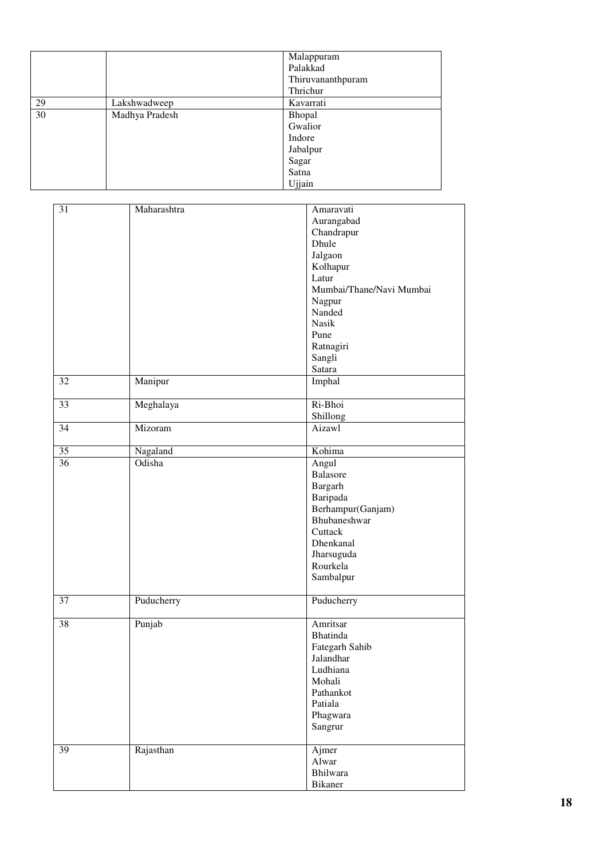|    |                | Malappuram        |
|----|----------------|-------------------|
|    |                | Palakkad          |
|    |                | Thiruvananthpuram |
|    |                | Thrichur          |
| 29 | Lakshwadweep   | Kavarrati         |
| 30 | Madhya Pradesh | Bhopal            |
|    |                | Gwalior           |
|    |                | Indore            |
|    |                | Jabalpur          |
|    |                | Sagar             |
|    |                | Satna             |
|    |                | Ujjain            |

| 31 | Maharashtra | Amaravati<br>Aurangabad<br>Chandrapur<br>Dhule<br>Jalgaon<br>Kolhapur<br>Latur<br>Mumbai/Thane/Navi Mumbai<br>Nagpur<br>Nanded<br><b>Nasik</b><br>Pune<br>Ratnagiri<br>Sangli<br>Satara |
|----|-------------|-----------------------------------------------------------------------------------------------------------------------------------------------------------------------------------------|
| 32 | Manipur     | Imphal                                                                                                                                                                                  |
| 33 | Meghalaya   | Ri-Bhoi<br>Shillong                                                                                                                                                                     |
| 34 | Mizoram     | Aizawl                                                                                                                                                                                  |
| 35 | Nagaland    | Kohima                                                                                                                                                                                  |
| 36 | Odisha      | Angul<br>Balasore<br>Bargarh<br>Baripada<br>Berhampur(Ganjam)<br>Bhubaneshwar<br>Cuttack<br>Dhenkanal<br>Jharsuguda<br>Rourkela<br>Sambalpur                                            |
| 37 | Puducherry  | Puducherry                                                                                                                                                                              |
| 38 | Punjab      | Amritsar<br>Bhatinda<br>Fategarh Sahib<br><b>Jalandhar</b><br>Ludhiana<br>Mohali<br>Pathankot<br>Patiala<br>Phagwara<br>Sangrur                                                         |
| 39 | Rajasthan   | Ajmer<br>Alwar<br>Bhilwara<br>Bikaner                                                                                                                                                   |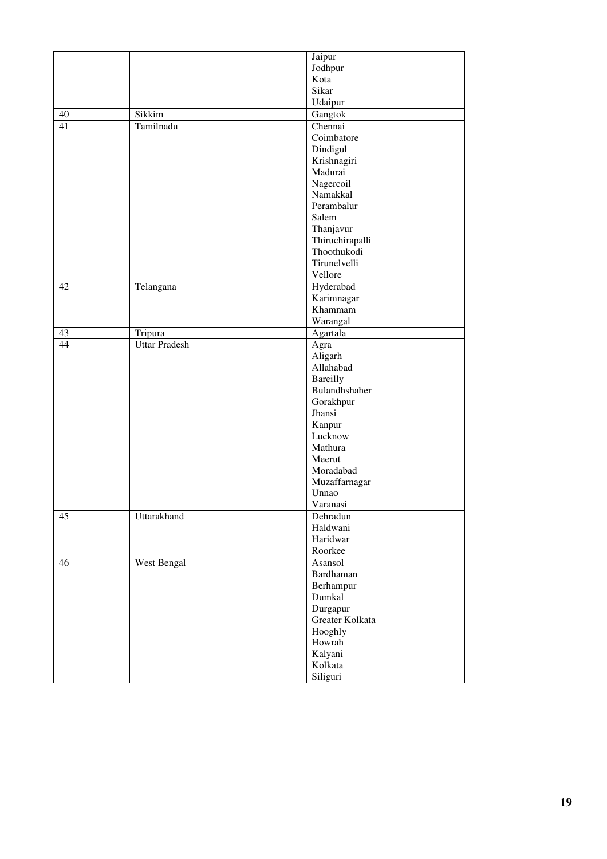|    |                      | Jaipur                |
|----|----------------------|-----------------------|
|    |                      | Jodhpur               |
|    |                      | Kota                  |
|    |                      | Sikar                 |
|    |                      | Udaipur               |
| 40 | Sikkim               | Gangtok               |
| 41 | Tamilnadu            | Chennai               |
|    |                      | Coimbatore            |
|    |                      | Dindigul              |
|    |                      | Krishnagiri           |
|    |                      | Madurai               |
|    |                      |                       |
|    |                      | Nagercoil<br>Namakkal |
|    |                      |                       |
|    |                      | Perambalur            |
|    |                      | Salem                 |
|    |                      | Thanjavur             |
|    |                      | Thiruchirapalli       |
|    |                      | Thoothukodi           |
|    |                      | Tirunelvelli          |
|    |                      | Vellore               |
| 42 | Telangana            | Hyderabad             |
|    |                      | Karimnagar            |
|    |                      | Khammam               |
|    |                      | Warangal              |
| 43 | Tripura              | Agartala              |
| 44 | <b>Uttar Pradesh</b> | Agra                  |
|    |                      | Aligarh               |
|    |                      | Allahabad             |
|    |                      | <b>Bareilly</b>       |
|    |                      | Bulandhshaher         |
|    |                      | Gorakhpur             |
|    |                      | Jhansi                |
|    |                      | Kanpur                |
|    |                      | Lucknow               |
|    |                      | Mathura               |
|    |                      | Meerut                |
|    |                      | Moradabad             |
|    |                      | Muzaffarnagar         |
|    |                      | Unnao                 |
|    |                      | Varanasi              |
| 45 | Uttarakhand          | Dehradun              |
|    |                      | Haldwani              |
|    |                      | Haridwar              |
|    |                      | Roorkee               |
| 46 | West Bengal          | Asansol               |
|    |                      | Bardhaman             |
|    |                      | Berhampur             |
|    |                      | Dumkal                |
|    |                      | Durgapur              |
|    |                      | Greater Kolkata       |
|    |                      | Hooghly               |
|    |                      | Howrah                |
|    |                      | Kalyani               |
|    |                      | Kolkata               |
|    |                      | Siliguri              |
|    |                      |                       |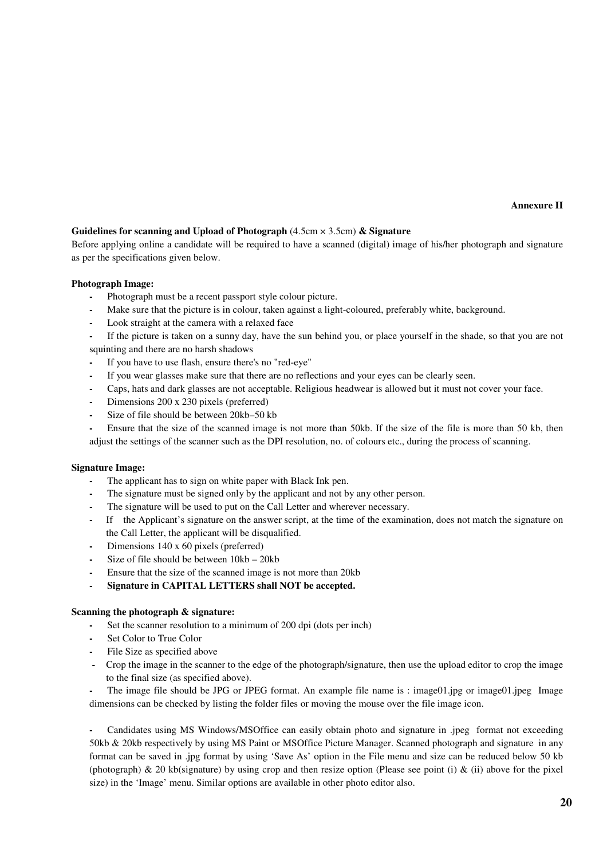**Annexure II** 

## **Guidelines for scanning and Upload of Photograph** (4.5cm × 3.5cm) **& Signature**

Before applying online a candidate will be required to have a scanned (digital) image of his/her photograph and signature as per the specifications given below.

#### **Photograph Image:**

- **-** Photograph must be a recent passport style colour picture.
- **-** Make sure that the picture is in colour, taken against a light-coloured, preferably white, background.
- **-** Look straight at the camera with a relaxed face

**-** If the picture is taken on a sunny day, have the sun behind you, or place yourself in the shade, so that you are not squinting and there are no harsh shadows

- **-** If you have to use flash, ensure there's no "red-eye"
- **-** If you wear glasses make sure that there are no reflections and your eyes can be clearly seen.
- **-** Caps, hats and dark glasses are not acceptable. Religious headwear is allowed but it must not cover your face.
- **-** Dimensions 200 x 230 pixels (preferred)
- **-** Size of file should be between 20kb–50 kb

**-** Ensure that the size of the scanned image is not more than 50kb. If the size of the file is more than 50 kb, then adjust the settings of the scanner such as the DPI resolution, no. of colours etc., during the process of scanning.

#### **Signature Image:**

- **-** The applicant has to sign on white paper with Black Ink pen.
- **-** The signature must be signed only by the applicant and not by any other person.
- **-** The signature will be used to put on the Call Letter and wherever necessary.
- **-** If the Applicant's signature on the answer script, at the time of the examination, does not match the signature on the Call Letter, the applicant will be disqualified.
- **-** Dimensions 140 x 60 pixels (preferred)
- **-** Size of file should be between 10kb 20kb
- **-** Ensure that the size of the scanned image is not more than 20kb
- **- Signature in CAPITAL LETTERS shall NOT be accepted.**

#### **Scanning the photograph & signature:**

- **-** Set the scanner resolution to a minimum of 200 dpi (dots per inch)
- **-** Set Color to True Color
- **-** File Size as specified above
- **-** Crop the image in the scanner to the edge of the photograph/signature, then use the upload editor to crop the image to the final size (as specified above).

**-** The image file should be JPG or JPEG format. An example file name is : image01.jpg or image01.jpeg Image dimensions can be checked by listing the folder files or moving the mouse over the file image icon.

**-** Candidates using MS Windows/MSOffice can easily obtain photo and signature in .jpeg format not exceeding 50kb & 20kb respectively by using MS Paint or MSOffice Picture Manager. Scanned photograph and signature in any format can be saved in .jpg format by using 'Save As' option in the File menu and size can be reduced below 50 kb (photograph)  $\&$  20 kb(signature) by using crop and then resize option (Please see point (i)  $\&$  (ii) above for the pixel size) in the 'Image' menu. Similar options are available in other photo editor also.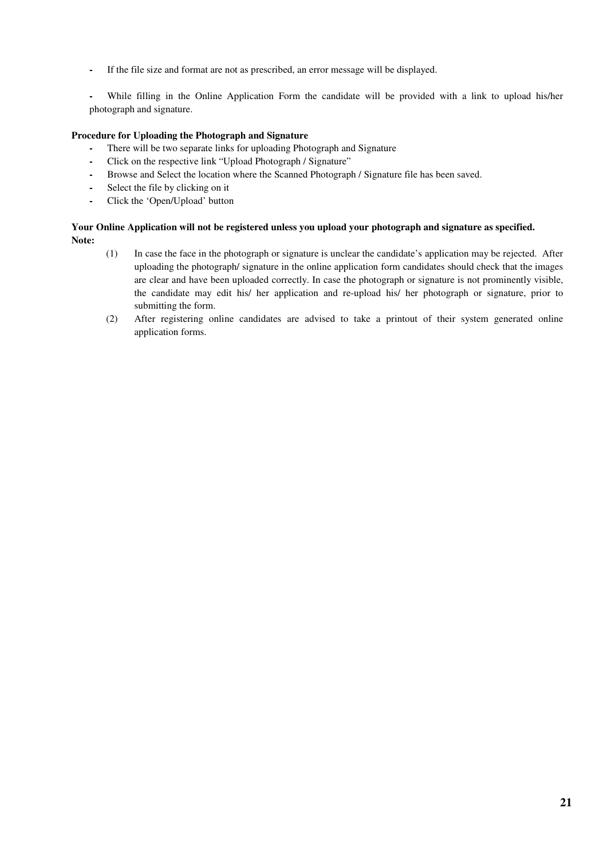**-** If the file size and format are not as prescribed, an error message will be displayed.

**-** While filling in the Online Application Form the candidate will be provided with a link to upload his/her photograph and signature.

### **Procedure for Uploading the Photograph and Signature**

- **-** There will be two separate links for uploading Photograph and Signature
- **-** Click on the respective link "Upload Photograph / Signature"
- **-** Browse and Select the location where the Scanned Photograph / Signature file has been saved.
- **-** Select the file by clicking on it
- **-** Click the 'Open/Upload' button

### **Your Online Application will not be registered unless you upload your photograph and signature as specified. Note:**

- (1) In case the face in the photograph or signature is unclear the candidate's application may be rejected. After uploading the photograph/ signature in the online application form candidates should check that the images are clear and have been uploaded correctly. In case the photograph or signature is not prominently visible, the candidate may edit his/ her application and re-upload his/ her photograph or signature, prior to submitting the form.
- (2) After registering online candidates are advised to take a printout of their system generated online application forms.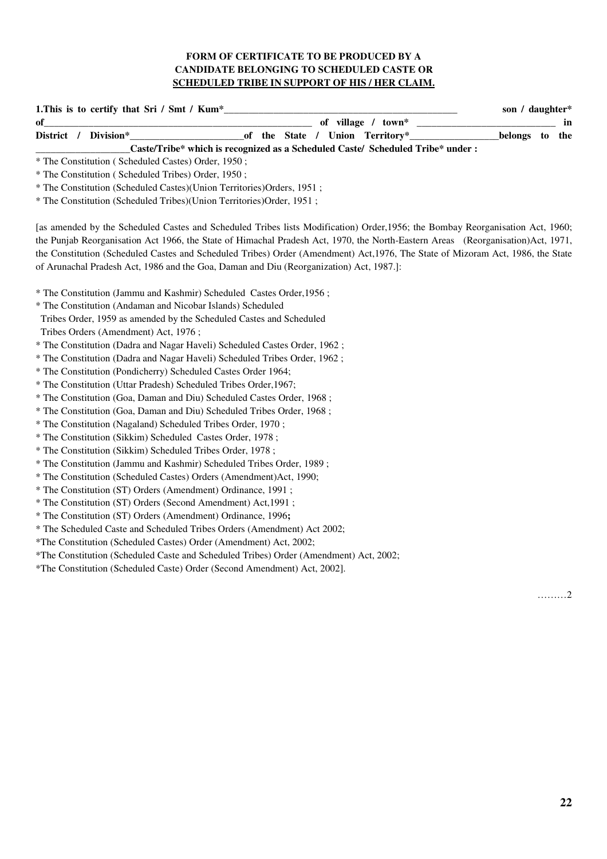## **FORM OF CERTIFICATE TO BE PRODUCED BY A CANDIDATE BELONGING TO SCHEDULED CASTE OR SCHEDULED TRIBE IN SUPPORT OF HIS / HER CLAIM.**

| 1. This is to certify that Sri / Smt / Kum*                                    | son / daughter*                                   |
|--------------------------------------------------------------------------------|---------------------------------------------------|
| of                                                                             | in                                                |
| District /<br>Division*                                                        | belongs to the<br>of the State / Union Territory* |
| Caste/Tribe* which is recognized as a Scheduled Caste/ Scheduled Tribe* under: |                                                   |
| * The Constitution (Scheduled Castes) Order, 1950;                             |                                                   |
| * The Constitution (Scheduled Tribes) Order, 1950;                             |                                                   |
| * The Constitution (Scheduled Castes)(Union Territories)Orders, 1951;          |                                                   |

\* The Constitution (Scheduled Tribes)(Union Territories)Order, 1951 ;

[as amended by the Scheduled Castes and Scheduled Tribes lists Modification) Order,1956; the Bombay Reorganisation Act, 1960; the Punjab Reorganisation Act 1966, the State of Himachal Pradesh Act, 1970, the North-Eastern Areas (Reorganisation)Act, 1971, the Constitution (Scheduled Castes and Scheduled Tribes) Order (Amendment) Act,1976, The State of Mizoram Act, 1986, the State of Arunachal Pradesh Act, 1986 and the Goa, Daman and Diu (Reorganization) Act, 1987.]:

\* The Constitution (Jammu and Kashmir) Scheduled Castes Order,1956 ;

\* The Constitution (Andaman and Nicobar Islands) Scheduled

Tribes Order, 1959 as amended by the Scheduled Castes and Scheduled

Tribes Orders (Amendment) Act, 1976 ;

\* The Constitution (Dadra and Nagar Haveli) Scheduled Castes Order, 1962 ;

\* The Constitution (Dadra and Nagar Haveli) Scheduled Tribes Order, 1962 ;

\* The Constitution (Pondicherry) Scheduled Castes Order 1964;

\* The Constitution (Uttar Pradesh) Scheduled Tribes Order,1967;

\* The Constitution (Goa, Daman and Diu) Scheduled Castes Order, 1968 ;

\* The Constitution (Goa, Daman and Diu) Scheduled Tribes Order, 1968 ;

\* The Constitution (Nagaland) Scheduled Tribes Order, 1970 ;

\* The Constitution (Sikkim) Scheduled Castes Order, 1978 ;

\* The Constitution (Sikkim) Scheduled Tribes Order, 1978 ;

\* The Constitution (Jammu and Kashmir) Scheduled Tribes Order, 1989 ;

\* The Constitution (Scheduled Castes) Orders (Amendment)Act, 1990;

\* The Constitution (ST) Orders (Amendment) Ordinance, 1991 ;

\* The Constitution (ST) Orders (Second Amendment) Act,1991 ;

\* The Constitution (ST) Orders (Amendment) Ordinance, 1996**;** 

\* The Scheduled Caste and Scheduled Tribes Orders (Amendment) Act 2002;

\*The Constitution (Scheduled Castes) Order (Amendment) Act, 2002;

\*The Constitution (Scheduled Caste and Scheduled Tribes) Order (Amendment) Act, 2002;

\*The Constitution (Scheduled Caste) Order (Second Amendment) Act, 2002].

………2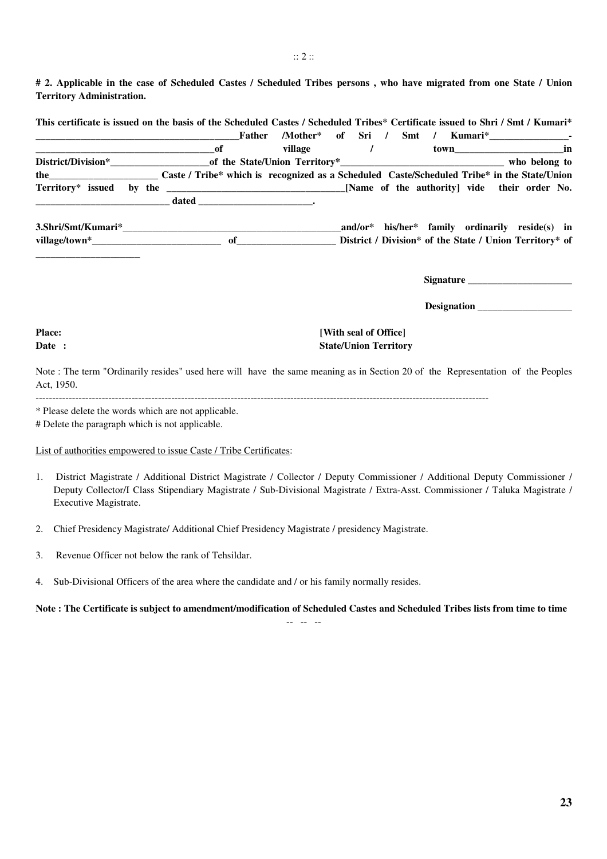**# 2. Applicable in the case of Scheduled Castes / Scheduled Tribes persons , who have migrated from one State / Union Territory Administration.** 

|                                                                                                             | Father |                   |  |  |                                                                                                                                                                                                                               |                                                    |
|-------------------------------------------------------------------------------------------------------------|--------|-------------------|--|--|-------------------------------------------------------------------------------------------------------------------------------------------------------------------------------------------------------------------------------|----------------------------------------------------|
| $\overline{\phantom{a}}$ of                                                                                 |        | village / town in |  |  |                                                                                                                                                                                                                               |                                                    |
|                                                                                                             |        |                   |  |  |                                                                                                                                                                                                                               |                                                    |
| the Caste/Union Caste / Tribe* which is recognized as a Scheduled Caste/Scheduled Tribe* in the State/Union |        |                   |  |  |                                                                                                                                                                                                                               |                                                    |
|                                                                                                             |        |                   |  |  |                                                                                                                                                                                                                               |                                                    |
|                                                                                                             |        |                   |  |  |                                                                                                                                                                                                                               |                                                    |
|                                                                                                             |        |                   |  |  |                                                                                                                                                                                                                               | $and/or^*$ his/her* family ordinarily reside(s) in |
|                                                                                                             |        |                   |  |  |                                                                                                                                                                                                                               |                                                    |
|                                                                                                             |        |                   |  |  |                                                                                                                                                                                                                               |                                                    |
|                                                                                                             |        |                   |  |  | Signature the state of the state of the state of the state of the state of the state of the state of the state of the state of the state of the state of the state of the state of the state of the state of the state of the |                                                    |

 **Designation \_\_\_\_\_\_\_\_\_\_\_\_\_\_\_\_\_\_\_** 

## **Place:** *Place: Place:* **<b>***Place: Place: Place: Place: Place: Place: Place: Place: Place: Place: Place: Place: Place: Place: Place: Place: Place: Pla* **Date : State/Union Territory**

Note : The term "Ordinarily resides" used here will have the same meaning as in Section 20 of the Representation of the Peoples Act, 1950.

-----------------------------------------------------------------------------------------------------------------------------------------

\* Please delete the words which are not applicable.

# Delete the paragraph which is not applicable.

#### List of authorities empowered to issue Caste / Tribe Certificates:

- 1. District Magistrate / Additional District Magistrate / Collector / Deputy Commissioner / Additional Deputy Commissioner / Deputy Collector/I Class Stipendiary Magistrate / Sub-Divisional Magistrate / Extra-Asst. Commissioner / Taluka Magistrate / Executive Magistrate.
- 2. Chief Presidency Magistrate/ Additional Chief Presidency Magistrate / presidency Magistrate.
- 3. Revenue Officer not below the rank of Tehsildar.
- 4. Sub-Divisional Officers of the area where the candidate and / or his family normally resides.

**Note : The Certificate is subject to amendment/modification of Scheduled Castes and Scheduled Tribes lists from time to time**

-- -- --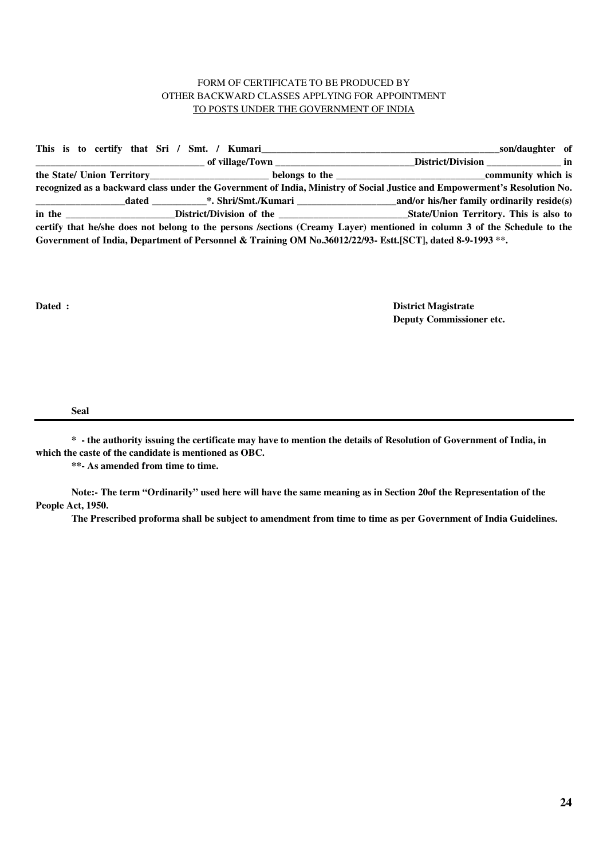## FORM OF CERTIFICATE TO BE PRODUCED BY OTHER BACKWARD CLASSES APPLYING FOR APPOINTMENT TO POSTS UNDER THE GOVERNMENT OF INDIA

|  | This is to certify that Sri / Smt. / Kumari | son/daughter of                                                                                                           |
|--|---------------------------------------------|---------------------------------------------------------------------------------------------------------------------------|
|  |                                             | District/Division in                                                                                                      |
|  |                                             |                                                                                                                           |
|  |                                             | recognized as a backward class under the Government of India, Ministry of Social Justice and Empowerment's Resolution No. |
|  | dated *. Shri/Smt./Kumari                   | and/or his/her family ordinarily reside(s)                                                                                |
|  |                                             | State/Union Territory. This is also to                                                                                    |
|  |                                             | certify that he/she does not belong to the persons /sections (Creamy Layer) mentioned in column 3 of the Schedule to the  |
|  |                                             | Government of India, Department of Personnel & Training OM No.36012/22/93- Estt.[SCT], dated 8-9-1993**.                  |

**Dated : District Magistrate Deputy Commissioner etc.** 

**Seal** 

**\* - the authority issuing the certificate may have to mention the details of Resolution of Government of India, in which the caste of the candidate is mentioned as OBC.** 

**\*\*- As amended from time to time.** 

**Note:- The term "Ordinarily" used here will have the same meaning as in Section 20of the Representation of the People Act, 1950.** 

**The Prescribed proforma shall be subject to amendment from time to time as per Government of India Guidelines.**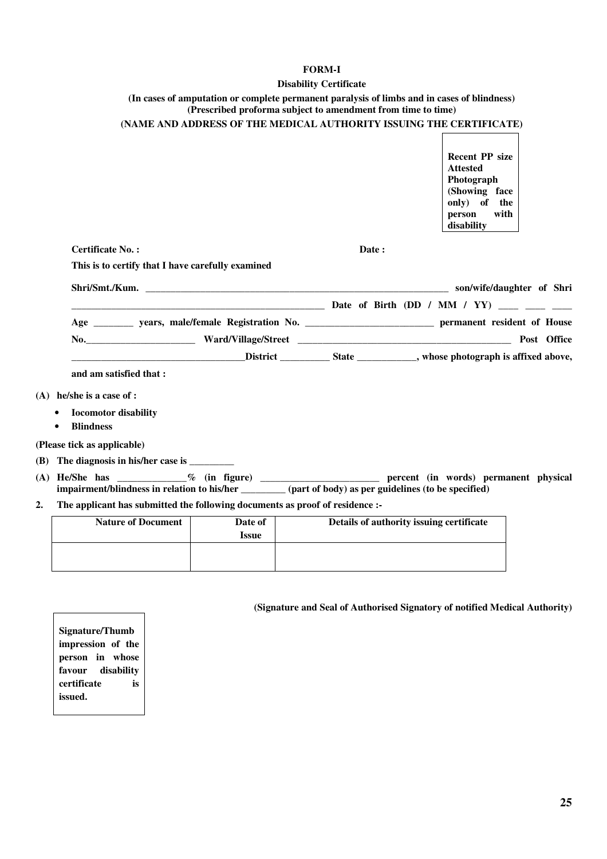## **FORM-I**

# **Disability Certificate**

|    |                                                                                                                                                                                                           |                         | <b>DISABILITY CETTILICATE</b>                                |                                                                                                   |      |  |  |  |
|----|-----------------------------------------------------------------------------------------------------------------------------------------------------------------------------------------------------------|-------------------------|--------------------------------------------------------------|---------------------------------------------------------------------------------------------------|------|--|--|--|
|    | (In cases of amputation or complete permanent paralysis of limbs and in cases of blindness)                                                                                                               |                         | (Prescribed proforma subject to amendment from time to time) |                                                                                                   |      |  |  |  |
|    | (NAME AND ADDRESS OF THE MEDICAL AUTHORITY ISSUING THE CERTIFICATE)                                                                                                                                       |                         |                                                              |                                                                                                   |      |  |  |  |
|    |                                                                                                                                                                                                           |                         |                                                              | <b>Recent PP size</b><br><b>Attested</b><br>Photograph<br>(Showing face<br>only) of the<br>person | with |  |  |  |
|    |                                                                                                                                                                                                           |                         |                                                              | disability                                                                                        |      |  |  |  |
|    | <b>Certificate No.:</b>                                                                                                                                                                                   |                         | Date:                                                        |                                                                                                   |      |  |  |  |
|    | This is to certify that I have carefully examined                                                                                                                                                         |                         |                                                              |                                                                                                   |      |  |  |  |
|    |                                                                                                                                                                                                           |                         |                                                              |                                                                                                   |      |  |  |  |
|    | ———————————————————————— Date of Birth (DD / MM / YY) ____ ___ ___                                                                                                                                        |                         |                                                              |                                                                                                   |      |  |  |  |
|    | Age ___________ years, male/female Registration No. _____________________________ permanent resident of House                                                                                             |                         |                                                              |                                                                                                   |      |  |  |  |
|    |                                                                                                                                                                                                           |                         |                                                              |                                                                                                   |      |  |  |  |
|    |                                                                                                                                                                                                           |                         |                                                              |                                                                                                   |      |  |  |  |
|    | and am satisfied that:                                                                                                                                                                                    |                         |                                                              |                                                                                                   |      |  |  |  |
|    | $(A)$ he/she is a case of :                                                                                                                                                                               |                         |                                                              |                                                                                                   |      |  |  |  |
|    | <b>Iocomotor</b> disability<br><b>Blindness</b><br>$\bullet$                                                                                                                                              |                         |                                                              |                                                                                                   |      |  |  |  |
|    | (Please tick as applicable)                                                                                                                                                                               |                         |                                                              |                                                                                                   |      |  |  |  |
|    | (B) The diagnosis in his/her case is                                                                                                                                                                      |                         |                                                              |                                                                                                   |      |  |  |  |
|    | (A) He/She has ____________% (in figure) ________________________ percent (in words) permanent physical<br>impairment/blindness in relation to his/her (part of body) as per guidelines (to be specified) |                         |                                                              |                                                                                                   |      |  |  |  |
| 2. | The applicant has submitted the following documents as proof of residence :-                                                                                                                              |                         |                                                              |                                                                                                   |      |  |  |  |
|    | <b>Nature of Document</b>                                                                                                                                                                                 | Date of<br><b>Issue</b> |                                                              | Details of authority issuing certificate                                                          |      |  |  |  |
|    |                                                                                                                                                                                                           |                         |                                                              |                                                                                                   |      |  |  |  |

**(Signature and Seal of Authorised Signatory of notified Medical Authority)** 

**Signature/Thumb impression of the person in whose favour disability certificate is issued.**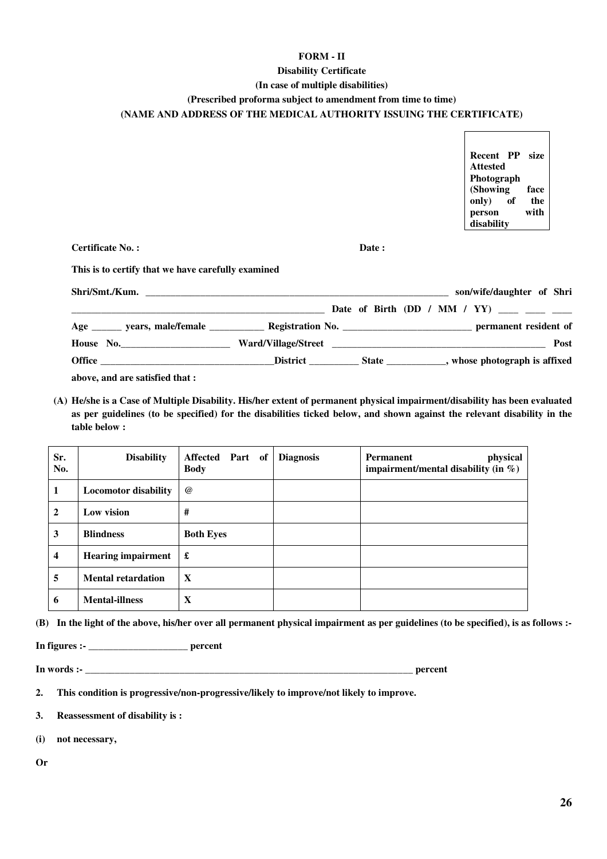#### **FORM - II**

### **Disability Certificate**

#### **(In case of multiple disabilities)**

### **(Prescribed proforma subject to amendment from time to time)**

 $\mathsf{r}$ 

٦

### **(NAME AND ADDRESS OF THE MEDICAL AUTHORITY ISSUING THE CERTIFICATE)**

|                                                                                                                   |       | Recent PP size<br><b>Attested</b><br>Photograph<br>(Showing)<br>face<br>only) of<br>the<br>with<br>person<br>disability |
|-------------------------------------------------------------------------------------------------------------------|-------|-------------------------------------------------------------------------------------------------------------------------|
| <b>Certificate No.:</b>                                                                                           | Date: |                                                                                                                         |
| This is to certify that we have carefully examined                                                                |       |                                                                                                                         |
|                                                                                                                   |       | son/wife/daughter of Shri                                                                                               |
| <b>Date of Birth (DD / MM / YY)</b> ____ ___ ___                                                                  |       |                                                                                                                         |
| Age ______ years, male/female _____________ Registration No. ______________________________ permanent resident of |       |                                                                                                                         |
|                                                                                                                   |       | Post                                                                                                                    |
|                                                                                                                   |       |                                                                                                                         |

**above, and are satisfied that :** 

**(A) He/she is a Case of Multiple Disability. His/her extent of permanent physical impairment/disability has been evaluated as per guidelines (to be specified) for the disabilities ticked below, and shown against the relevant disability in the table below :** 

| Sr.<br>No.              | <b>Disability</b>           | Affected Part of<br><b>Body</b> | <b>Diagnosis</b> | physical<br>Permanent<br>impairment/mental disability (in $\%$ ) |
|-------------------------|-----------------------------|---------------------------------|------------------|------------------------------------------------------------------|
| 1                       | <b>Locomotor disability</b> | $\omega$                        |                  |                                                                  |
| $\overline{2}$          | Low vision                  | #                               |                  |                                                                  |
| 3                       | <b>Blindness</b>            | <b>Both Eyes</b>                |                  |                                                                  |
| $\overline{\mathbf{4}}$ | <b>Hearing impairment</b>   | £                               |                  |                                                                  |
| 5                       | <b>Mental retardation</b>   | $\mathbf{X}$                    |                  |                                                                  |
| 6                       | <b>Mental-illness</b>       | X                               |                  |                                                                  |

**(B) In the light of the above, his/her over all permanent physical impairment as per guidelines (to be specified), is as follows :-** 

**In figures :- \_\_\_\_\_\_\_\_\_\_\_\_\_\_\_\_\_\_\_\_ percent** 

**In words :- Depending 2.1 <b>percent** 

- **2. This condition is progressive/non-progressive/likely to improve/not likely to improve.**
- **3. Reassessment of disability is :**
- **(i) not necessary,**

**Or**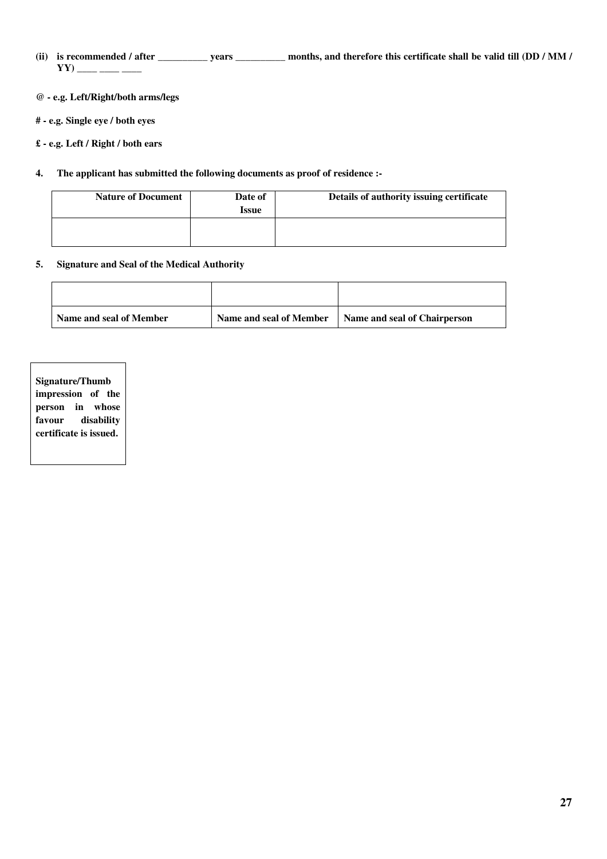- **(ii) is recommended / after \_\_\_\_\_\_\_\_\_\_ years \_\_\_\_\_\_\_\_\_\_ months, and therefore this certificate shall be valid till (DD / MM /**   $YY)$  \_\_\_\_\_ \_\_\_\_ \_\_\_\_
- **@ e.g. Left/Right/both arms/legs**
- **# e.g. Single eye / both eyes**
- **£ e.g. Left / Right / both ears**
- **4. The applicant has submitted the following documents as proof of residence :-**

| <b>Nature of Document</b> | Date of<br>Issue | Details of authority issuing certificate |
|---------------------------|------------------|------------------------------------------|
|                           |                  |                                          |

## **5. Signature and Seal of the Medical Authority**

| Name and seal of Member | Name and seal of Member | Name and seal of Chairperson |
|-------------------------|-------------------------|------------------------------|

**Signature/Thumb impression of the person in whose favour disability certificate is issued.**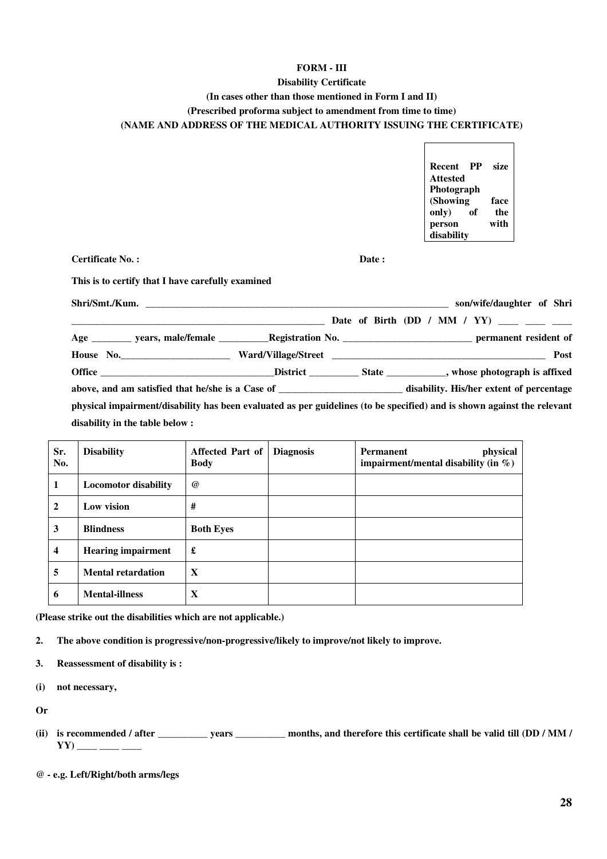## **FORM - III**

## **Disability Certificate**

## **(In cases other than those mentioned in Form I and II)**

**(Prescribed proforma subject to amendment from time to time)**

### **(NAME AND ADDRESS OF THE MEDICAL AUTHORITY ISSUING THE CERTIFICATE)**

| Recent     | PP | size |
|------------|----|------|
| Attested   |    |      |
| Photograph |    |      |
| (Showing   |    | face |
| only)      | of | the  |
| person     |    | with |
| disability |    |      |

 $\overline{\Gamma}$ 

**Certificate No. :** Date :

**This is to certify that I have carefully examined** 

|                                |  | son/wife/daughter of Shri                                                                                               |
|--------------------------------|--|-------------------------------------------------------------------------------------------------------------------------|
|                                |  | Date of Birth (DD / MM / YY) ____ ___ ___                                                                               |
|                                |  |                                                                                                                         |
|                                |  | Post                                                                                                                    |
|                                |  |                                                                                                                         |
|                                |  |                                                                                                                         |
|                                |  | physical impairment/disability has been evaluated as per guidelines (to be specified) and is shown against the relevant |
| disability in the table below: |  |                                                                                                                         |

| Sr.<br>No.              | <b>Disability</b>           | Affected Part of<br><b>Body</b> | <b>Diagnosis</b> | physical<br><b>Permanent</b><br>impairment/mental disability (in $\%$ ) |
|-------------------------|-----------------------------|---------------------------------|------------------|-------------------------------------------------------------------------|
| 1                       | <b>Locomotor disability</b> | $^{\omega}$                     |                  |                                                                         |
| $\overline{2}$          | Low vision                  | #                               |                  |                                                                         |
| 3                       | <b>Blindness</b>            | <b>Both Eyes</b>                |                  |                                                                         |
| $\overline{\mathbf{4}}$ | <b>Hearing impairment</b>   | £                               |                  |                                                                         |
| 5                       | <b>Mental retardation</b>   | X                               |                  |                                                                         |
| 6                       | <b>Mental-illness</b>       | X                               |                  |                                                                         |

**(Please strike out the disabilities which are not applicable.)** 

**2. The above condition is progressive/non-progressive/likely to improve/not likely to improve.** 

**3. Reassessment of disability is :** 

**(i) not necessary,** 

**Or** 

**(ii) is recommended / after \_\_\_\_\_\_\_\_\_\_ years \_\_\_\_\_\_\_\_\_\_ months, and therefore this certificate shall be valid till (DD / MM /**   $YY)$  \_\_\_\_\_ \_\_\_\_ \_\_\_\_

**<sup>@ -</sup> e.g. Left/Right/both arms/legs**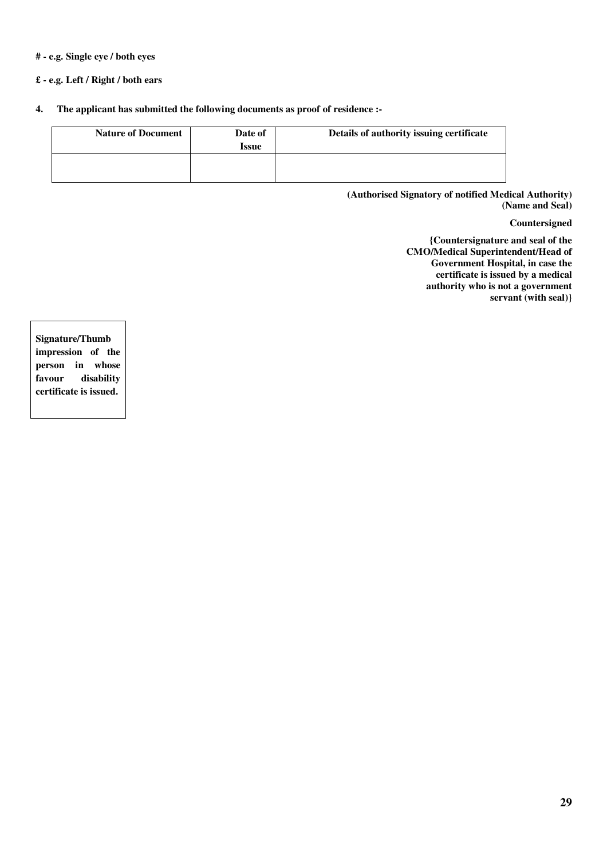### **# - e.g. Single eye / both eyes**

## **£ - e.g. Left / Right / both ears**

**4. The applicant has submitted the following documents as proof of residence :-** 

| <b>Nature of Document</b> | Date of<br><b>Issue</b> | Details of authority issuing certificate |
|---------------------------|-------------------------|------------------------------------------|
|                           |                         |                                          |

**(Authorised Signatory of notified Medical Authority) (Name and Seal)** 

**Countersigned** 

**{Countersignature and seal of the CMO/Medical Superintendent/Head of Government Hospital, in case the certificate is issued by a medical authority who is not a government servant (with seal)}** 

**Signature/Thumb impression of the person in whose favour disability certificate is issued.**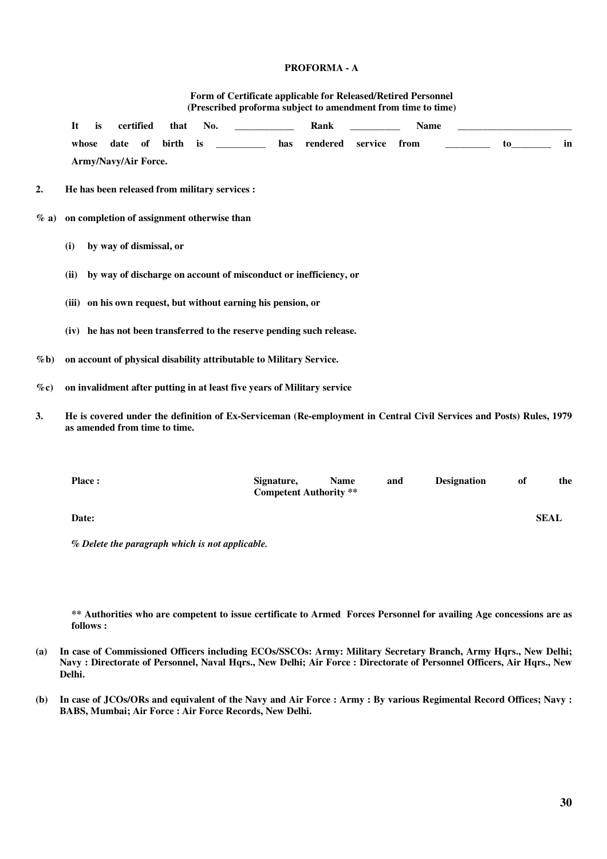### **PROFORMA - A**

|         | Form of Certificate applicable for Released/Retired Personnel<br>(Prescribed proforma subject to amendment from time to time) |                         |          |     |                                                                         |          |              |      |  |    |    |
|---------|-------------------------------------------------------------------------------------------------------------------------------|-------------------------|----------|-----|-------------------------------------------------------------------------|----------|--------------|------|--|----|----|
|         | is<br>It                                                                                                                      | certified               | that     | No. |                                                                         | Rank     |              | Name |  |    |    |
|         | whose<br>Army/Navy/Air Force.                                                                                                 | of<br>date              | birth is |     | has                                                                     | rendered | service from |      |  | to | in |
| 2.      | He has been released from military services :                                                                                 |                         |          |     |                                                                         |          |              |      |  |    |    |
| $\%$ a) | on completion of assignment otherwise than                                                                                    |                         |          |     |                                                                         |          |              |      |  |    |    |
|         | (i)                                                                                                                           | by way of dismissal, or |          |     |                                                                         |          |              |      |  |    |    |
|         | (ii)                                                                                                                          |                         |          |     | by way of discharge on account of misconduct or inefficiency, or        |          |              |      |  |    |    |
|         |                                                                                                                               |                         |          |     | (iii) on his own request, but without earning his pension, or           |          |              |      |  |    |    |
|         |                                                                                                                               |                         |          |     | (iv) he has not been transferred to the reserve pending such release.   |          |              |      |  |    |    |
| $\%$ b) |                                                                                                                               |                         |          |     | on account of physical disability attributable to Military Service.     |          |              |      |  |    |    |
| $\%$ c) |                                                                                                                               |                         |          |     | on invalidment after putting in at least five years of Military service |          |              |      |  |    |    |

**3. He is covered under the definition of Ex-Serviceman (Re-employment in Central Civil Services and Posts) Rules, 1979 as amended from time to time.** 

| <b>Place:</b> | Signature,<br><b>Competent Authority</b> ** | <b>Name</b> | and | <b>Designation</b> | оf | the         |
|---------------|---------------------------------------------|-------------|-----|--------------------|----|-------------|
| Date:         |                                             |             |     |                    |    | <b>SEAL</b> |

*% Delete the paragraph which is not applicable.*

**\*\* Authorities who are competent to issue certificate to Armed Forces Personnel for availing Age concessions are as follows :** 

- **(a) In case of Commissioned Officers including ECOs/SSCOs: Army: Military Secretary Branch, Army Hqrs., New Delhi; Navy : Directorate of Personnel, Naval Hqrs., New Delhi; Air Force : Directorate of Personnel Officers, Air Hqrs., New Delhi.**
- **(b) In case of JCOs/ORs and equivalent of the Navy and Air Force : Army : By various Regimental Record Offices; Navy : BABS, Mumbai; Air Force : Air Force Records, New Delhi.**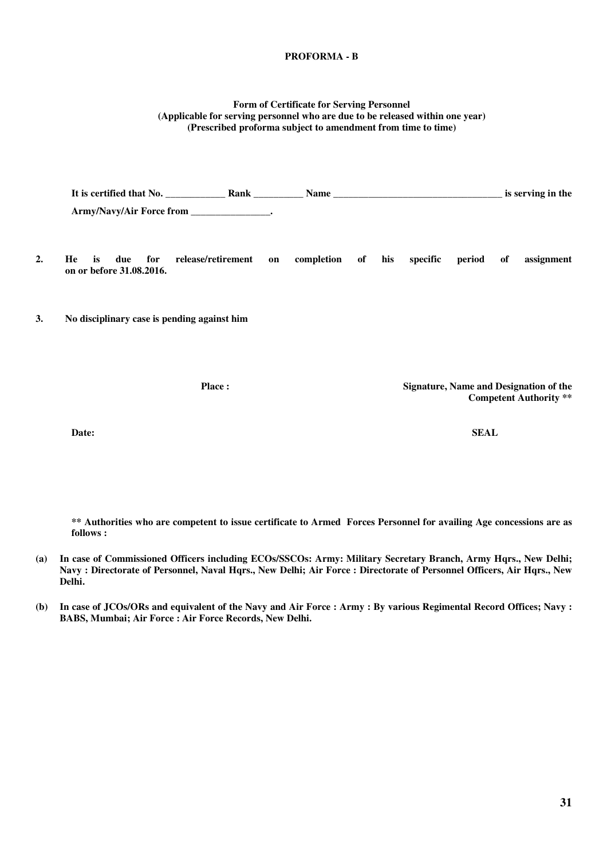### **PROFORMA - B**

#### **Form of Certificate for Serving Personnel (Applicable for serving personnel who are due to be released within one year) (Prescribed proforma subject to amendment from time to time)**

|    | It is certified that No. Rank                      |                    |    |            |    |     |          |        |    | is serving in the                      |
|----|----------------------------------------------------|--------------------|----|------------|----|-----|----------|--------|----|----------------------------------------|
|    | Army/Navy/Air Force from _________________.        |                    |    |            |    |     |          |        |    |                                        |
| 2. | He<br>is<br>for<br>due<br>on or before 31.08.2016. | release/retirement | on | completion | of | his | specific | period | of | assignment                             |
| 3. | No disciplinary case is pending against him        |                    |    |            |    |     |          |        |    |                                        |
|    |                                                    | <b>Place:</b>      |    |            |    |     |          |        |    | Signature, Name and Designation of the |

**Competent Authority \*\*** 

**Date: SEAL** 

**\*\* Authorities who are competent to issue certificate to Armed Forces Personnel for availing Age concessions are as follows :** 

- **(a) In case of Commissioned Officers including ECOs/SSCOs: Army: Military Secretary Branch, Army Hqrs., New Delhi; Navy : Directorate of Personnel, Naval Hqrs., New Delhi; Air Force : Directorate of Personnel Officers, Air Hqrs., New Delhi.**
- **(b) In case of JCOs/ORs and equivalent of the Navy and Air Force : Army : By various Regimental Record Offices; Navy : BABS, Mumbai; Air Force : Air Force Records, New Delhi.**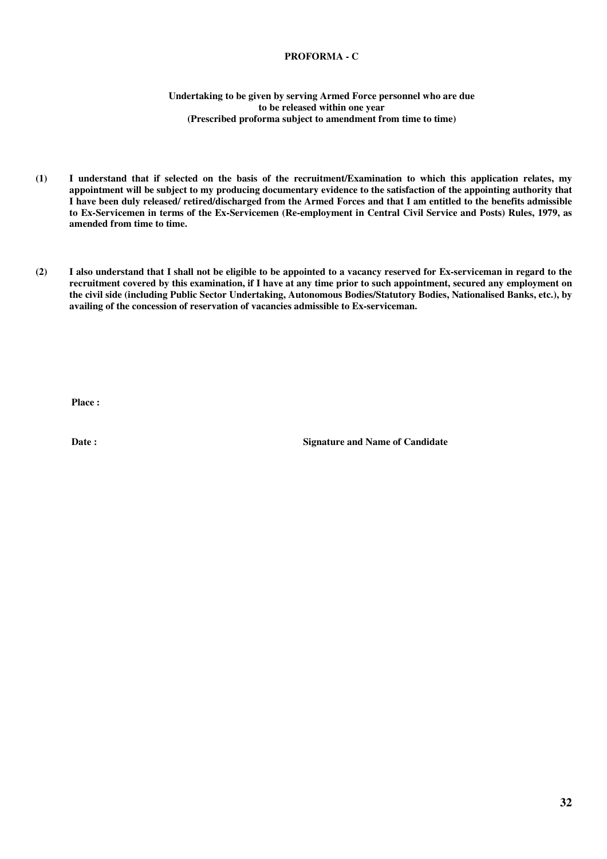### **PROFORMA - C**

#### **Undertaking to be given by serving Armed Force personnel who are due to be released within one year (Prescribed proforma subject to amendment from time to time)**

- **(1) I understand that if selected on the basis of the recruitment/Examination to which this application relates, my appointment will be subject to my producing documentary evidence to the satisfaction of the appointing authority that I have been duly released/ retired/discharged from the Armed Forces and that I am entitled to the benefits admissible to Ex-Servicemen in terms of the Ex-Servicemen (Re-employment in Central Civil Service and Posts) Rules, 1979, as amended from time to time.**
- **(2) I also understand that I shall not be eligible to be appointed to a vacancy reserved for Ex-serviceman in regard to the recruitment covered by this examination, if I have at any time prior to such appointment, secured any employment on the civil side (including Public Sector Undertaking, Autonomous Bodies/Statutory Bodies, Nationalised Banks, etc.), by availing of the concession of reservation of vacancies admissible to Ex-serviceman.**

**Place :** 

**Date :** Signature and Name of Candidate